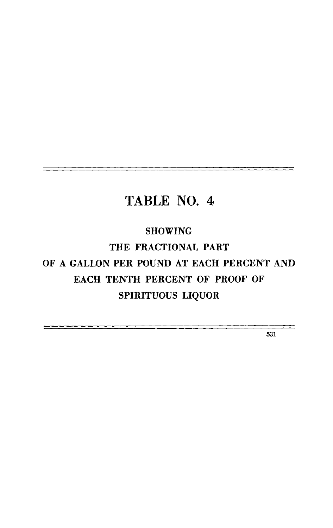## **SHOWING**

**THE FRACTIONAL PART OF A GALLON PER POUND AT EACH PERCENT AND EACH TENTH PERCENT OF PROOF OF SPIRITUOUS LIQUOR** 

531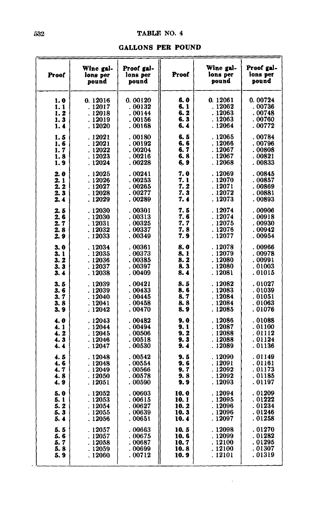#### **TABLFI NO. 4**

#### **GALLONS PER POUND**

| 0.12016<br>. 12017<br>. 12018<br>. 12019<br>. 12020<br>. 12021<br>. 12021<br>. 12022<br>. 12023<br>. 12024<br>. 12025<br>. 12026<br>. 12027<br>. 12028<br>. 12029 | 0.00120<br>. 00132<br>. 00144<br>. 00156<br>. 00168<br>. 00180<br>. 00192<br>. 00204<br>. 00216<br>. 00228<br>. 00241<br>. 00253 | 6. 0<br>6. 1<br>6. 2<br>6. 3<br>6.4<br>6. 5<br>6, 6<br>6.7<br>6.8<br>6, 9<br>7. 0 | 0.12061<br>. 12062<br>. 12063<br>. 12063<br>. 12064<br>.12065<br>. 12066<br>. 12067<br>. 12067<br>. 12068 | 0.00724<br>. 00736<br>. 00748<br>. 00760<br>. 00772<br>. 00784<br>. 00796<br>. 00808<br>. 00821 |
|-------------------------------------------------------------------------------------------------------------------------------------------------------------------|----------------------------------------------------------------------------------------------------------------------------------|-----------------------------------------------------------------------------------|-----------------------------------------------------------------------------------------------------------|-------------------------------------------------------------------------------------------------|
|                                                                                                                                                                   |                                                                                                                                  |                                                                                   |                                                                                                           |                                                                                                 |
|                                                                                                                                                                   |                                                                                                                                  |                                                                                   |                                                                                                           |                                                                                                 |
|                                                                                                                                                                   |                                                                                                                                  |                                                                                   |                                                                                                           |                                                                                                 |
|                                                                                                                                                                   |                                                                                                                                  |                                                                                   |                                                                                                           | . 00833                                                                                         |
|                                                                                                                                                                   | . 00265<br>. 00277<br>. 00289                                                                                                    | 7. 1<br>7. 2<br>7. 3<br>7. 4                                                      | . 12069<br>. 12070<br>. 12071<br>. 12072<br>. 12073                                                       | . 00845<br>. 00857<br>. 00869<br>. 00881<br>. 00893                                             |
| . 12030<br>. 12030<br>. 12031<br>. 12032                                                                                                                          | . 00301<br>. 00313<br>. 00325<br>. 00337                                                                                         | 7. 5<br>7.6<br>7. 7<br>7.8                                                        | . 12074<br>. 12074<br>. 12075<br>. 12076                                                                  | .00906<br>. 00918<br>. 00930<br>. 00942<br>. 00954                                              |
| . 12034<br>. 12035<br>. 12036<br>. 12037<br>. 12038                                                                                                               | . 00361<br>. 00373<br>. 00385<br>. 00397<br>. 00409                                                                              | 8. 0<br>8.1<br>8. 2<br>8.3<br>8. 4                                                | . 12078<br>. 12079<br>. 12080<br>. 12080<br>. 12081                                                       | .00966<br>. 00978<br>. 00991<br>. 01003<br>. 01015                                              |
| . 12039<br>. 12039<br>. 12040<br>. 12041<br>: 12042                                                                                                               | . 00421<br>. 00433<br>. 00445<br>. 00458<br>. 00470                                                                              | 8. 5<br>8. 6<br>8. 7<br>8. 8<br>8. 9                                              | . 12082<br>. 12083<br>. 12084<br>.12084<br>. 12085                                                        | . 01027<br>. 01039<br>. 01051<br>. 01063<br>. 01076                                             |
| . 12043<br>. 12044<br>. 12045<br>. 12046<br>. 12047                                                                                                               | . 00482<br>. 00494<br>. 00506<br>. 00518<br>. 00530                                                                              | 9. 0<br>9. 1<br>9.2<br>9. 3<br>9.4                                                | . 12086<br>. 12087<br>. 12088<br>. 12088<br>. 12089                                                       | . 01088<br>. 01100<br>. 01112<br>. 01124<br>. 01136                                             |
| . 12048<br>. 12048<br>. 12049<br>. 12050<br>. 12051                                                                                                               | . 00542<br>. 00554<br>. 00566<br>. 00578<br>. 00590                                                                              | 9.5<br>9. 6<br>9.7<br>9. 8<br>9. 9                                                | .12090<br>. 12091<br>. 12092<br>. 12092<br>. 12093                                                        | . 01149<br>. 01161<br>. 01173<br>. 01185<br>. 01197                                             |
| . 12052<br>. 12053<br>. 12054<br>.12055<br>. 12056                                                                                                                | . 00603<br>. 00615<br>00627<br>. 00639<br>.00651                                                                                 | 10. 0<br>10. 1<br>10. 2<br>10.3<br>10.4                                           | . 12094<br>. 12095<br>. 12096<br>. 12096<br>.12097                                                        | . 01209<br>. 01222<br>. 01234<br>.01246<br>.01258                                               |
| . 12057<br>. 12057<br>. 12058<br>. 12059                                                                                                                          | 00663<br>. 00675<br>. 00687<br>. 00699                                                                                           | 10. 5<br>10. 6<br>10.7<br>10.8                                                    | . 12098<br>. 12099<br>. 12100                                                                             | .01270<br>. 01282<br>. 01295<br>.01307                                                          |
|                                                                                                                                                                   | . 12033<br>. 12060                                                                                                               | . 00349<br>.00712                                                                 | 7. 9                                                                                                      | . 12077<br>. 12100                                                                              |

l,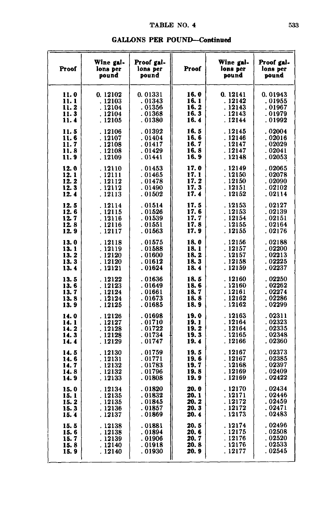| Proof | Wine gal-<br>lons per<br>pound | Proof gal-<br>lons per<br>pound | Proof | Wine gal-<br>lons per<br>pound | Proof gal-<br>lons per<br>pound |
|-------|--------------------------------|---------------------------------|-------|--------------------------------|---------------------------------|
| 11.0  | 0.12102                        | 0.01331                         | 16.0  | 0.12141                        | 0.01943                         |
| 11. 1 | .12103                         | . 01343                         | 16.1  | . 12142                        | . 01955                         |
| 11.2  | . 12104                        | . 01356                         | 16.2  | . 12143                        | . 01967                         |
| 11.3  | . 12104                        | . 01368                         | 16.3  | . 12143                        | . 01979                         |
| 11. 4 | . 12105                        | . 01380                         | 16.4  | . 12144                        | . 01992                         |
| 11. 5 | . 12106                        | .01392                          | 16.5  | .12145                         | .02004                          |
| 11.6  | .12107                         | . 01404                         | 16.6  | . 12146                        | .02016                          |
| 11.7  | . 12108                        | . 01417                         | 16.7  | . 12147                        | .02029                          |
| 11.8  | . 12108                        | . 01429                         | 16.8  | . 12147                        | . 02041                         |
| 11.9  | . 12109                        | .01441                          | 16.9  | . 12148                        | . 02053                         |
| 12.0  | . 12110                        | .01453                          | 17.0  | . 12149                        | .02065                          |
| 12.1  | . 12111                        | . 01465                         | 17.1  | . 12150                        | .02078                          |
| 12.2  | . 12112                        | . 01478                         | 17. 2 | . 12150                        | .02090                          |
| 12.3  | . 12112                        | . 01490                         | 17.3  | . 12151                        | .02102                          |
| 12.4  | . 12113                        | .01502                          | 17.4  | . 12152                        | .02114                          |
| 12.5  | . 12114                        | . 01514                         | 17.5  | .12153                         | . 02127                         |
| 12.6  | . 12115                        | .01526                          | 17.6  | . 12153                        | .02139                          |
| 12.7  | . 12116                        | . 01539                         | 17.7  | . 12154                        | . 02151                         |
| 12.8  | . 12116                        | . 01551                         | 17.8  | .12155                         | .02164                          |
| 12.9  | . 12117                        | . 01563                         | 17.9  | . 12155                        | . 02176                         |
| 13.0  | .12118                         | . 01575                         | 18.0  | . 12156                        | . 02188                         |
| 13.1  | . 12119                        | .01588                          | 18.1  | . 12157                        | . 02200                         |
| 13.2  | . 12120                        | . 01600                         | 18.2  | . 12157                        | . 02213                         |
| 13.3  | .12120                         | .01612                          | 18.3  | . 12158                        | .02225                          |
| 13.4  | . 12121                        | . 01624                         | 18.4  | . 12159                        | . 02237                         |
| 13.5  | . 12122                        | .01636                          | 18.5  | . 12160                        | . 02250                         |
| 13.6  | . 12123                        | . 01649                         | 18.6  | . 12160                        | . 02262                         |
| 13.7  | . 12124                        | . 01661                         | 18.7  | . 12161                        | .02274                          |
| 13.8  | . 12124                        | .01673                          | 18.8  | . 12162                        | .02286                          |
| 13.9  | . 12125                        | . 01685                         | 18.9  | . 12162                        | .02299                          |
| 14.0  | . 12126                        | .01698                          | 19.0  | . 12163                        | . 02311                         |
| 14.1  | . 12127                        | . 01710                         | 19.1  | . 12164                        | . 02323                         |
| 14.2  | . 12128                        | .01722                          | 19.2  | . 12164                        | . 02335                         |
| 14.3  | . 12128                        | . 01734                         | 19.3  | . 12165                        | . 02348                         |
| 14.4  | . 12129                        | . 01747                         | 19.4  | . 12166                        | .02360                          |
| 14.5  | . 12130                        | . 01759                         | 19.5  | . 12167                        | .02373                          |
| 14.6  | . 12131                        | . 01771                         | 19.6  | .12167                         | . 02385                         |
| 14.7  | .12132                         | . 01783                         | 19.7  | . 12168                        | . 02397                         |
| 14.8  | . 12132                        | .01796                          | 19.8  | . 12169                        | .02409                          |
| 14.9  | . 12133                        | . 01808                         | 19.9  | .12169                         | . 02422                         |
| 15.0  | . 12134                        | .01820                          | 20.0  | . 12170                        | . 02434                         |
| 15.1  | . 12135                        | .01832                          | 20.1  | . 12171                        | .02446                          |
| 15.2  | . 12135                        | .01845                          | 20.2  | . 12172                        | .02459                          |
| 15.3  | . 12136                        | .01857                          | 20. 3 | . 12172                        | .02471                          |
| 15.4  | . 12137                        | . 01869                         | 20.4  | . 12173                        | . 02483                         |
| 15.5  | . 12138                        | . 01881                         | 20. 5 | . 12174                        | . 02496                         |
| 15.6  | . 12138                        | . 01894                         | 20. 6 | . 12175                        | . 02508                         |
| 15.7  | . 12139                        | . 01906                         | 20. 7 | . 12176                        | .02520                          |
| 15. 8 | . 12140                        | . 01918                         | 20.8  | . 12176                        | . 02533                         |
| 15.9  | . 12140                        | . 01930                         | 20. 9 | . 12177                        | . 02545                         |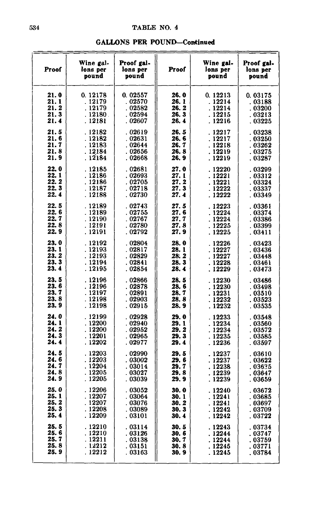|  | <b>GALLONS PER POUND-Continued</b> |
|--|------------------------------------|
|--|------------------------------------|

| Proof | Wine gal-<br>lons per<br>pound | Proof gal-<br>lons per<br>pound | Proof | Wine gal-<br>lons per<br>pound | Proof gal-<br>lons per<br>pound |
|-------|--------------------------------|---------------------------------|-------|--------------------------------|---------------------------------|
| 21.0  | 0.12178                        | 0.02557                         | 26.0  | 0.12213                        | 0.03175                         |
| 21. 1 | . 12179                        | .02570                          | 26. 1 | . 12214                        | . 03188                         |
| 21. 2 | . 12179                        | .02582                          | 26. 2 | . 12214                        | .03200                          |
| 21.3  | .12180.                        | . 02594                         | 26.3  | . 12215                        | .03213                          |
| 21.4  | . 12181                        | . 02607                         | 26. 4 | . 12216                        | . 03225                         |
| 21. 5 | .12182                         | . 02619                         | 26.5  | . 12217                        | .03238                          |
| 21.6  | . 12182                        | 02631                           | 26.6  | . 12217                        | . 03250                         |
| 21.7  | . 12183                        | .02644                          | 26. 7 | . 12218                        | . 03262                         |
| 21.8  | . 12184                        | .02656                          | 26.8  | . 12219                        | . 03275                         |
| 21.9  | . 12184                        | . 02668                         | 26.9  | . 12219                        | .03287                          |
| 22.0  | . 12185                        | .02681                          | 27. 0 | 12220                          | .03299                          |
| 22.1  | . 12186                        | .02693                          | 27. 1 | .12221                         | . 03312                         |
| 22.2  | . 12186                        | .02705                          | 27. 2 | . 12221                        | . 03324                         |
| 22.3  | . 12187                        | .02718                          | 27.3  | .12222                         | .03337                          |
| 22.4  | . 12188                        | .02730                          | 27.4  | .12222                         | . 03349                         |
| 22.5  | . 12189                        | .02743                          | 27. 5 | 12223                          | . 03361                         |
| 22.6  | . 12189                        | . 02755                         | 27. 6 | .12224                         | . 03374                         |
| 22.7  | .12190                         | . 02767                         | 27. 7 | .12224                         | . 03386                         |
| 22.8  | . 12191                        | .02780                          | 27. 8 | .12225                         | . 03399                         |
| 22. 9 | . 12191                        | .02792                          | 27.9  | . 12225                        | . 03411                         |
| 23.0  | .12192                         | .02804                          | 28.0  | .12226                         | .03423                          |
| 23.1  | . 12193                        | . 02817                         | 28.1  | .12227                         | .03436                          |
| 23. 2 | . 12193                        | .02829                          | 28. 2 | . 12227                        | . 03448                         |
| 23.3  | . 12194                        | . 02841                         | 28.3  | .12228                         | . 03461                         |
| 23.4  | . 12195                        | . 02854                         | 28.4  | .12229                         | . 03473                         |
| 23.5  | . 12196                        | . 02866                         | 28.5  | .12230                         | . 03486                         |
| 23.6  | . 12196                        | . 02878                         | 28. 6 | . 12230                        | . 03498                         |
| 23.7  | . 12197                        | 02891                           | 28. 7 | . 12231                        | . 03510                         |
| 23.8  | . 12198                        | . 02903                         | 28. 8 | .12232                         | .03523                          |
| 23.9  | . 12198                        | . 02915                         | 28.9  | . 12232                        | . 03535                         |
| 24.0  | . 12199                        | . 02928                         | 29.0  | 12233                          | .03548                          |
| 24. 1 | . 12200                        | .02940                          | 29.1  | . 12234                        | .03560                          |
| 24.2  | . 12200                        | . 02952                         | 29. 2 | . 12234                        | . 03572                         |
| 24.3  | . 12201                        | . 02965                         | 29. 3 | . 12235                        | . 03585                         |
| 24.4  | . 12202                        | .02977                          | 29.4  | . 12236                        | ${\small .}$ 03597              |
| 24.5  | .12203                         | .02990                          | 29.5  | . 12237                        | . 03610                         |
| 24.6  | .12203                         | . 03002                         | 29. 6 | . 12237                        | . 03622                         |
| 24. 7 | .12204                         | . 03014                         | 29. 7 | . 12238                        | . 03635                         |
| 24. 8 | . 12205                        | . 03027                         | 29. 8 | . 12239                        | .03647                          |
| 24.9  | . 12205                        | . 03039                         | 29.9  | . 12239                        | . 03659                         |
| 25.0  | . 12206                        | .03052                          | 30.0  | .12240                         | . 03672                         |
| 25. 1 | . 12207                        | 03064                           | 30. 1 | .12241                         | . 03685                         |
| 25. 2 | . 12207                        | 03076                           | 30.2  | .12241                         | . 03697                         |
| 25.3  | . 12208                        | . 03089                         | 30.3  | . 12242                        | . 03709                         |
| 25.4  | . 12209                        | . 03101                         | 30. 4 | . 12242                        | . 03722                         |
| 25.5  | . 12210                        | . 03114                         | 30.5  | .12243                         | .03734                          |
| 25.6  | . 12210                        | .03126                          | 30. 6 | . 12244                        | .03747                          |
| 25.7  | . 12211                        | . 03138                         | 30.7  | . 12244                        | . 03759                         |
| 25. 8 | . 12212                        | 03151                           | 30.8  | . 12245                        | . 03771                         |
| 25.9  | . 12212                        | . 03163                         | 30. 9 | . 12245                        | . 03784                         |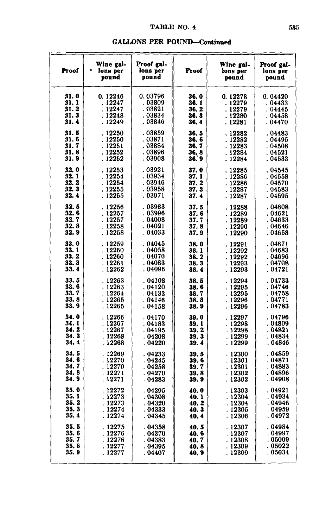| Proof                                | Wine gal-<br>$\bullet$<br>lons per<br>pound       | Proof gal-<br>lons per<br>pound                 | Proof                                                    | Wine gal-<br>lons per<br>pound                     | Proof gal-<br>lons per<br>pound                    |
|--------------------------------------|---------------------------------------------------|-------------------------------------------------|----------------------------------------------------------|----------------------------------------------------|----------------------------------------------------|
| 31. 0                                | 0.12246                                           | 0.03796                                         | 36. O                                                    | 0.12278                                            | 0.04420                                            |
| 31.1                                 | . 12247                                           | . 03809                                         | 36. 1                                                    | . 12279                                            | . 04433                                            |
| 31.2                                 | . 12247                                           | .03821                                          | 36.2                                                     | . 12279                                            | .04445                                             |
| 31.3                                 | . 12248                                           | .03834                                          | 36.3                                                     | . 12280                                            | . 04458                                            |
| 31.4                                 | . 12249                                           | . 03846                                         | 36.4                                                     | . 12281                                            | . 04470                                            |
| 31.5<br>31.6<br>31.7<br>31.8<br>31.9 | .12250<br>.12250<br>. 12251<br>. 12252<br>. 12252 | .03859<br>.03871<br>. 03884<br>.03896<br>.03908 | 36.5<br>36.6<br>36. 7<br>$\frac{36}{36}$ , $\frac{8}{9}$ | . 12282<br>.12282<br>. 12283<br>. 12284<br>. 12284 | .04483<br>. 04495<br>. 04508<br>. 04521<br>. 04533 |
| 32.0                                 | . 12253                                           | .03921                                          | 37.0                                                     | .12285                                             | .04545                                             |
| 32.1                                 | . 12254                                           | . 03934                                         | 37. 1                                                    | . 12286                                            | . 04558                                            |
| 32.2                                 | . 12254                                           | .03946                                          | 37. 2                                                    | .12286                                             | . 04570                                            |
| 32.3                                 | . 12255                                           | .03958                                          | 37.3                                                     | . 12287                                            | . 04583                                            |
| 32.4                                 | . 12255                                           | .03971                                          | 37. 4                                                    | . 12287                                            | . 04595                                            |
| 32.5                                 | .12256                                            | .03983                                          | 37.5                                                     | . 12288                                            | .04608                                             |
| 32.6                                 | . 12257                                           | . 03996                                         | 37.6                                                     | .12289                                             | . 04621                                            |
| 32.7                                 | . 12257                                           | . 04008                                         | 37.7                                                     | . 12289                                            | . 04633                                            |
| 32.8                                 | .12258                                            | . 04021                                         | 37.8                                                     | .12290                                             | . 04646                                            |
| 32.9                                 | . 12258                                           | .04033                                          | 37.9                                                     | . 12290                                            | . 04658                                            |
| 33.0                                 | .12259                                            | . 04045                                         | 38.0                                                     | . 12291                                            | . 04671                                            |
| 33.1                                 | . 12260                                           | . 04058                                         | 38.1                                                     | .12292                                             | . 04683                                            |
| 33. 2                                | .12260                                            | . 04070                                         | 38.2                                                     | . 12292                                            | . 04696                                            |
| 33.3                                 | . 12261                                           | . 04083                                         | 38.3                                                     | . 12293                                            | . 04708                                            |
| 33.4                                 | . 12262                                           | . 04096                                         | 38.4                                                     | . 12293                                            | . 04721                                            |
| 33.5                                 | .12263                                            | .04108                                          | 38.5                                                     | .12294                                             | . 04733                                            |
| 33.6                                 | . 12263                                           | . 04120                                         | 38.6                                                     | . 12295                                            | 04746                                              |
| 33.7                                 | . 12264                                           | . 04133                                         | 38.7                                                     | .12295                                             | .04758                                             |
| 33.8                                 | .12265                                            | . 04146                                         | 38.8                                                     | . 12296                                            | . 04771                                            |
| 33.9                                 | . 12265                                           | .04158                                          | 38.9                                                     | .12296                                             | . 04783                                            |
| 34.0                                 | .12266                                            | .04170                                          | 39.0                                                     | . 12297                                            | . 04796                                            |
| 34.1                                 | .12267                                            | .04183                                          | 39.1                                                     | .12298                                             | .04809                                             |
| 34.2                                 | . 12267                                           | . 04195                                         | 39.2                                                     | . 12298                                            | . 04821                                            |
| 34.3                                 | . 12268                                           | . 04208                                         | 39. 3                                                    | . 12299                                            | . 04834                                            |
| 34.4                                 | . 12268                                           | . 04220                                         | 39.4                                                     | . 12299                                            | . 04846                                            |
| 34.5                                 | .12269                                            | .04233                                          | 39. 5                                                    | .12300                                             | . 04859                                            |
| 34.6                                 | .12270                                            | . 04245                                         | 39.6                                                     | . 12301                                            | . 04871                                            |
| 34.7                                 | .12270                                            | .04258                                          | 39. 7                                                    | . 12301                                            | .04883                                             |
| 34.8                                 | .12271                                            | .04270                                          | 39.8                                                     | .12302                                             | . 04896                                            |
| 34.9                                 | . 12271                                           | . 04283                                         | 39.9                                                     | . 12302                                            | . 04908                                            |
| 35.0                                 | .12272                                            | .04295                                          | 40.0                                                     | . 12303                                            | .04921                                             |
| 35.1                                 | . 12273                                           | . 04308                                         | 40. 1                                                    | . 12304                                            | . 04934                                            |
| 35.2                                 | .12273                                            | .04320                                          | 40.2                                                     | . 12304                                            | .04946                                             |
| 35.3                                 | .12274                                            | . 04333                                         | 40.3                                                     | . 12305                                            | . 04959                                            |
| 35.4                                 | . 12274                                           | . 04345                                         | 40.4                                                     | . 12306                                            | . 04972                                            |
| 35.5                                 | . 12275                                           | . 04358                                         | 40. 5                                                    | .12307                                             | . 04984                                            |
| 35.6                                 | . 12276                                           | . 04370                                         | 40. 6                                                    | . 12307                                            | . 04997                                            |
| 35.7                                 | . 12276                                           | . 04383                                         | 40. 7                                                    | . 12308                                            | . 05009                                            |
| 35.8                                 | . 12277                                           | . 04395                                         | 40. 8                                                    | . 12309                                            | . 05022                                            |
| 35.9                                 | . 12277                                           | . 04407                                         | 40. 9                                                    | . 12309                                            | . 05034                                            |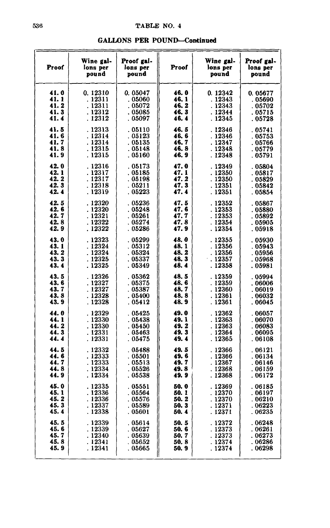|  |  |  | <b>GALLONS PER POUND—Continued</b> |  |
|--|--|--|------------------------------------|--|
|  |  |  |                                    |  |

| Proof        | Wine gal-<br>lons per<br>pound | Proof gal-<br>lons per<br>pound | Proof         | Wine gal-<br>lons per<br>pound | Proof gal-<br>lons per<br>pound |
|--------------|--------------------------------|---------------------------------|---------------|--------------------------------|---------------------------------|
| 41.0         | 0.12310                        | 0.05047                         | 46.0          | 0.12342                        | 0.05677                         |
| 41.1         | . 12311                        | .05060                          | 46.1          | . 12343                        | . 05690                         |
| 41.2         | . 12311                        | .05072                          | 46.2          | . 12343                        | .05702                          |
| 41.3         | . 12312                        | .05085                          | 46. 3         | . 12344                        | .05715                          |
| 41.4         | . 12312                        | . 05097                         | 46.4          | . 12345                        | . 05728                         |
| 41.5         | . 12313                        | .05110                          | 46.5          | .12346                         | . 05741                         |
| 41.6         | . 12314                        | .05123                          | 46.6          | . 12346                        | .05753                          |
| 41.7         | . 12314                        | .05135                          | 46.7          | . 12347                        | . 05766                         |
| 41.8         | . 12315                        | . 05148                         | 46.8          | . 12348                        | .05779                          |
| 41.9         | . 12315                        | . 05160                         | 46.9          | .12348                         | .05791                          |
| 42.0         | . 12316                        | . 05173                         | 47.0          | . 12349                        | .05804                          |
| 42.1         | . 12317                        | . 05185                         | 47.1          | . 12350                        | . 05817                         |
| 42.2         | . 12317                        | . 05198                         | 47. 2         | . 12350                        | .05829                          |
| 42.3         | .12318                         | .05211                          | 47.3          | . 12351                        | .05842                          |
| 42.4         | . 12319                        | .05223                          | 47.4          | . 12351                        | .05854                          |
| 42.5         | . 12320                        | .05236                          | 47.5          | .12352                         | . 05867                         |
| 42.6         | . 12320                        | .05248                          | 47.6          | . 12353                        | .05880                          |
| 42.7         | . 12321                        | .05261                          | 47.7          | .12353                         | .05892                          |
| 42.8         | . 12322                        | .05274                          | 47.8          | . 12354                        | . 05905                         |
| 42.9         | . 12322                        | .05286                          | 47.9          | . 12354                        | . 05918                         |
| 43.0         | . 12323                        | .05299                          | 48.0          | . 12355                        | .05930                          |
| 43.1         | . 12324                        | .05312                          | 48.1          | . 12356                        | .05943                          |
| 43.2         | . 12324                        | .05324                          | 48.2          | . 12356                        | . 05956                         |
| 43.3         | . 12325                        | . 05337                         | 48.3          | 12357                          | .05968                          |
| 43.4         | . 12325                        | . 05349                         | 48.4          | . 12358                        | . 05981                         |
| 43.5         | . 12326                        | . 05362                         | 48.5          | . 12359                        | .05994                          |
| 43.6         | . 12327                        | .05375                          | 48.6          | . 12359                        | .06006                          |
| 43.7         | . 12327                        | .05387                          | 48.7          | . 12360                        | . 06019                         |
| 43.8         | . 12328                        | .05400                          | 48.8          | .12361                         | .06032                          |
| 43.9         | . 12328                        | . 05412                         | 48.9          | .12361                         | .06045                          |
| 44.0         | . 12329                        | .05425                          | 49.0          | . 12362                        | . 06057                         |
| 44.1         | . 12330                        | .05438                          | 49.1          | . 12363                        | . 06070                         |
| 44.2         | . 12330                        | . 05450                         | 49. 2         | . 12363                        | . 06083                         |
| 44.3         | . 12331                        | . 05463                         | 49.3          | . 12364                        | . 06095                         |
| 44.4         | . 12331                        | .05475                          | 49.4          | . 12365                        | .06108                          |
| 44.5         | . 12332                        | . 05488                         | 49.5          | . 12366                        | .06121                          |
| 44.6         | . 12333                        | .05501                          | 49.6          | .12366                         | .06134                          |
| 44.7         | . 12333                        | . 05513                         | 49.7          | . 12367                        | . 06146                         |
| 44.8         | . 12334                        | .05526                          | 49.8          | . 12368                        | .06159                          |
| 44.9         | . 12334                        | . 05538                         | 49. 9         | . 12368                        | . 06172                         |
| 45.0         | . 12335                        | . 05551                         | 50.0          | . 12369                        | . 06185                         |
| 45.1         | . 12336                        | 05564                           | 50. 1         | . 12370                        | . 06197                         |
| 45.2         | .12336                         | .05576                          | 50.2          | . 12370                        | .06210                          |
| 45.3         | . 12337                        | .05589                          | 50.3          | . 12371                        | .06223                          |
| 45.4         | . 12338                        | .05601                          | 50.4          | . 12371                        | . 06235                         |
| 45.5         | . 12339                        | . 05614                         | 50.5          | . 12372                        | .06248                          |
| 45.6<br>45.7 | . 12339                        | .05627                          | 50.6          | . 12373                        | . 06261                         |
| 45.8         | . 12340<br>. 12341             | . 05639<br>0.5652               | 50.7<br>50. 8 | . 12373<br>. 12374             | . 06273<br>. 06286              |
| 45.9         | . 12341                        | .05665                          | 50.9          | . 12374                        | . 06298                         |
|              |                                |                                 |               |                                |                                 |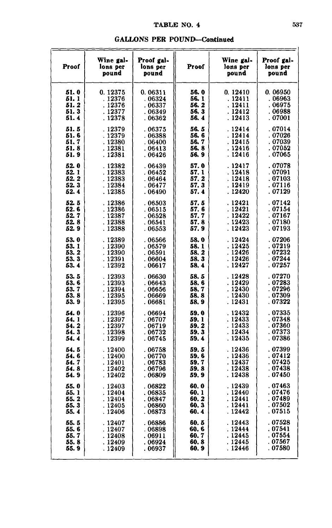| Proof | Wine gal-<br>lons per<br>pound | Proof gal-<br>lons per<br>pound | Proof | Wine gal-<br>lons per<br>pound | Proof gal-<br>lons per<br>pound |
|-------|--------------------------------|---------------------------------|-------|--------------------------------|---------------------------------|
| 51.0  | 0.12375                        | 0.06311                         | 56.0  | 0.12410                        | 0.06950                         |
| 51.1  | . 12376                        | .06324                          | 56. 1 | . 12411                        | . 06963                         |
| 51. 2 | . 12376                        | . 06337                         | 56. 2 | . 12411                        | . 06975                         |
| 51.3  | . 12377                        | .06349                          | 56.3  | . 12412                        | . 06988                         |
| 51.4  | . 12378                        | .06362                          | 56.4  | . 12413                        | . 07001                         |
| 51.5  | .12379                         | . 06375                         | 56.5  | . 12414                        | . 07014                         |
| 51.6  | . 12379                        | .06388                          | 56.6  | . 12414                        | . 07026                         |
| 51.7  | .12380                         | . 06400                         | 56.7  | . 12415                        | . 07039                         |
| 51.8  | . 12381                        | . 06413                         | 56.8  | .12416                         | . 07052                         |
| 51.9  | . 12381                        | . 06426                         | 56.9  | . 12416                        | . 07065                         |
| 52.0  | . 12382                        | . 06439                         | 57.0  | . 12417                        | . 07078                         |
| 52.1  | .12383                         | . 06452                         | 57.1  | . 12418                        | . 07091                         |
| 52. 2 | . 12383                        | . 06464                         | 57.2  | . 12418                        | . 07103                         |
| 52.3  | . 12384                        | . 06477                         | 57.3  | . 12419                        | . 07116                         |
| 52.4  | . 12385                        | . 06490                         | 57.4  | . 12420                        | . 07129                         |
| 52.5  | . 12386                        | .06503                          | 57. 5 | . 12421                        | .07142                          |
| 52. 6 | . 12386                        | . 06515                         | 57. 6 | . 12421                        | . 07154                         |
| 52.7  | .12387                         | .06528                          | 57.7  | . 12422                        | .07167                          |
| 52.8  | .12388                         | .06541                          | 57.8  | .12423                         | .07180                          |
| 52.9  | . 12388                        | . 06553                         | 57. 9 | . 12423                        | .07193                          |
| 53.0  | .12389                         | . 06566                         | 58.0  | . 12424                        | .07206                          |
| 53.1  | . 12390                        | . 06579                         | 58.1  | . 12425                        | . 07219                         |
| 53.2  | . 12390                        | . 06591                         | 58. 2 | . 12426                        | .07232                          |
| 53.3  | . 12391                        | . 06604                         | 58. 3 | . 12426                        | . 07244                         |
| 53.4  | . 12392                        | . 06617                         | 58.4  | . 12427                        | . 07257                         |
| 53.5  | . 12393                        | . 06630                         | 58.5  | . 12428                        | .07270                          |
| 53. 6 | . 12393                        | . 06643                         | 58.6  | .12429                         | .07283                          |
| 53.7  | . 12394                        | . 06656                         | 58.7  | . 12430                        | . 07296                         |
| 53.8  | .12395                         | . 06669                         | 58.8  | . 12430                        | .07309                          |
| 53.9  | . 12395                        | .06681                          | 58.9  | . 12431                        | . 07322                         |
| 54.0  | .12396                         | . 06694                         | 59.0  | . 12432                        | .07335                          |
| 54. 1 | . 12397                        | . 06707                         | 59. 1 | . 12433                        | . 07348                         |
| 54.2  | . 12397                        | .06719                          | 59.2  | . 12433                        | . 07360                         |
| 54.3  | . 12398                        | . 06732                         | 59.3  | . 12434                        | .07373                          |
| 54.4  | . 12399                        | . 06745                         | 59.4  | . 12435                        | . 07386                         |
| 54.5  | . 12400                        | .06758                          | 59.5  | .12436                         | .07399                          |
| 54.6  | . 12400                        | .06770                          | 59.6  | . 12436                        | .07412                          |
| 54.7  | . 12401                        | .06783                          | 59.7  | . 12437                        | .07425                          |
| 54. 8 | . 12402                        | . 06796                         | 59. 8 | .12438                         | .07438                          |
| 54.9  | . 12402                        | . 06809                         | 59.9  | . 12438                        | . 07450                         |
| 55.0  | .12403                         | . 06822                         | 60. 0 | .12439                         | . 07463                         |
| 55. 1 | . 12404                        | . 06835                         | 60. 1 | . 12440                        | .07476                          |
| 55.2  | . 12404                        | . 06847                         | 60. 2 | . 12441                        | . 07489                         |
| 55.3  | . 12405                        | .06860                          | 60.3  | . 12441                        | . 07502                         |
| 55.4  | . 12406                        | .06873                          | 60. 4 | . 12442                        | . 07515                         |
| 55.5  | .12407                         | .06886                          | 60.5  | .12443                         | .07528                          |
| 55.6  | . 12407                        | . 06898                         | 60. 6 | . 12444                        | . 07541                         |
| 55.7  | . 12408                        | . 06911                         | 60. 7 | . 12445                        | . 07554                         |
| 55.8  | . 12409                        | . 06924                         | 60. 8 | . 12445                        | 07567                           |
| 55.9  | . 12409                        | . 06937                         | 60. 9 | . 12446                        | . 07580                         |

 $\mathbf{r}$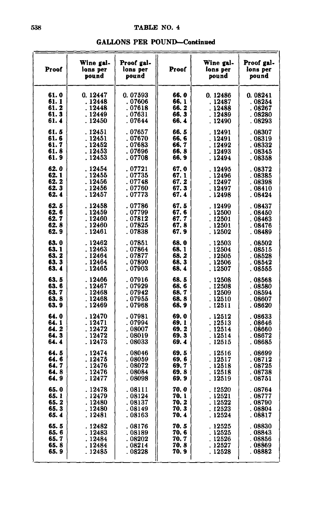|  |  |  |  |  |  |  |  |  | <b>GALLONS PER POUND—Continued</b> |  |  |  |  |  |
|--|--|--|--|--|--|--|--|--|------------------------------------|--|--|--|--|--|
|  |  |  |  |  |  |  |  |  |                                    |  |  |  |  |  |

| Proof         | Wine gal-<br>lons per<br>pound | Proof gal-<br>lons per<br>pound | Proof          | Wine gal-<br>lons per<br>pound | Proof gal-<br>lons per<br>pound |
|---------------|--------------------------------|---------------------------------|----------------|--------------------------------|---------------------------------|
| 61.0<br>61. 1 | 0.12447<br>. 12448             | 0.07593<br>. 07606              | 66.0<br>66.1   | 0.12486<br>. 12487             | 0.08241<br>. 08254              |
| 61.2          | . 12448                        | .07618                          | 66.2           | . 12488                        | . 08267                         |
| 61.3          | . 12449                        | . 07631                         | 66, 3          | . 12489                        | . 08280                         |
| 61.4          | . 12450                        | . 07644                         | 66.4           | . 12490                        | . 08293                         |
| 61.5          | . 12451                        | .07657                          | 66.5           | . 12491                        | .08307                          |
| 61.6          | . 12451                        | . 07670                         | 66.6           | . 12491                        | . 08319                         |
| 61.7          | . 12452                        | . 07683                         | 66.7           | . 12492                        | . 08332                         |
| 61.8<br>61.9  | . 12453<br>. 12453             | . 07696<br>. 07708              | 66.8<br>66.9   | .12493<br>. 12494              | . 08345<br>. 08358              |
|               |                                |                                 |                |                                |                                 |
| 62.0<br>62. 1 | . 12454<br>. 12455             | . 07721<br>. 07735              | 67.0<br>67, 1  | .12495<br>. 12496              | . 08372<br>. 08385              |
| 62.2          | .12456                         | .07748                          | 67.2           | . 12497                        | . 08398                         |
| 62.3          | . 12456                        | . 07760                         | 67.3           | . 12497                        | . 08410                         |
| 62.4          | . 12457                        | . 07773                         | 67.4           | .12498                         | . 08424                         |
| 62.5          | . 12458                        | .07786                          | 67.5           | .12499                         | . 08437                         |
| 62. 6         | . 12459                        | . 07799                         | 67. 6          | . 12500                        | . 08450                         |
| 62.7          | .12460                         | . 07812                         | 67.7           | . 12501                        | . 08463                         |
| 62. 8         | . 12460                        | . 07825                         | 67.8           | . 12501                        | . 08476                         |
| 62.9          | . 12461                        | .07838                          | 67. 9          | . 12502                        | . 08489                         |
| 63.0          | .12462                         | .07851                          | 68.0           | .12503                         | . 08502                         |
| 63.1          | . 12463                        | . 07864                         | 68.1           | . 12504                        | . 08515                         |
| 63.2          | .12464                         | . 07877                         | 68. 2          | . 12505                        | . 08528                         |
| 63.3<br>63.4  | . 12464<br>. 12465             | . 07890<br>. 07903              | 68.3<br>68.4   | . 12506<br>. 12507             | . 08542<br>. 08555              |
| 63.5          | .12466                         | .07916                          | 68.5           | .12508                         | . 08568                         |
| 63.6          | . 12467                        | . 07929                         | 68.6           | .12508                         | . 08580                         |
| 63.7          | . 12468                        | . 07942                         | 68.7           | . 12509                        | . 08594                         |
| 63.8          | . 12468                        | . 07955                         | 68.8           | . 12510                        | . 08607                         |
| 63.9          | . 12469                        | . 07968                         | 68.9           | . 12511                        | . 08620                         |
| 64.0          | .12470                         | .07981                          | 69.0           | . 12512                        | . 08633                         |
| 64. 1         | . 12471                        | . 07994                         | 69. 1          | . 12513                        | . 08646                         |
| 64. 2         | . 12472                        | . 08007                         | 69.2           | . 12514                        | . 08660                         |
| 64.3<br>64.4  | . 12472<br>. 12473             | . 08019<br>. 08033              | 69.3<br>69.4   | . 12514<br>. 12515             | . 08672<br>. 08685              |
|               |                                |                                 |                |                                |                                 |
| 64. 5<br>64.6 | . 12474<br>. 12475             | . 08046<br>. 08059              | 69.5<br>69. 6  | .12516<br>.12517               | . 08699<br>. 08712              |
| 64.7          | . 12476                        | . 08072                         | 69. 7          | . 12518                        | . 08725                         |
| 64. 8         | . 12476                        | . 08084                         | 69.8           | . 12518                        | . 08738                         |
| 64. 9         | . 12477                        | .08098                          | 69.9           | . 12519                        | . 08751                         |
| 65.0          | . 12478                        | . 08111                         | 70.0           | . 12520                        | . 08764                         |
| 65. 1         | . 12479                        | . 08124                         | 70.1           | .12521                         | . 08777                         |
| 65.2          | . 12480                        | .08137                          | 70.2           | .12522                         | . 08790                         |
| 65.3          | . 12480                        | . 08149                         | 70. 3          | . 12523                        | . 08804                         |
| 65. 4         | . 12481                        | . 08163                         | 70.4           | . 12524                        | . 08817                         |
| 65.5          | . 12482                        | .08176                          | 70.5           | .12525                         | . 08830                         |
| 65. 6         | . 12483                        | . 08189                         | 70. 6          | .12525                         | . 08843                         |
| 65.7<br>65.8  | . 12484<br>. 12484             | . 08202<br>. 08214              | 70. 7<br>70, 8 | . 12526<br>. 12527             | . 08856<br>. 08869              |
| 65. 9         | . 12485                        | . 08228                         | 70. 9          | . 12528                        | . 08882                         |
|               |                                |                                 |                |                                |                                 |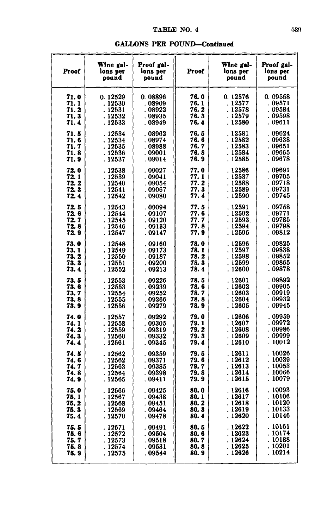| Proof | Wine gal-<br>lons per<br>pound | Proof gal-<br>lons per<br>pound | Proof | Wine gal-<br>lons per<br>pound | Proof gal-<br>lons per<br>pound |
|-------|--------------------------------|---------------------------------|-------|--------------------------------|---------------------------------|
| 71.0  | 0.12529                        | 0.08896                         | 76. 0 | 0.12576                        | 0.09558                         |
| 71. 1 | . 12530                        | . 08909                         | 76. 1 | . 12577                        | . 09571                         |
| 71.2  | . 12531                        | .08922                          | 76. 2 | . 12578                        | . 09584                         |
| 71.3  | . 12532                        | . 08935                         | 76.3  | . 12579                        | . 09598                         |
| 71.4  | . 12533                        | . 08949                         | 76.4  | . 12580                        | . 09611                         |
| 71.5  | . 12534                        | .08962                          | 76.5  | . 12581                        | .09624                          |
| 71. 6 | . 12534                        | .08974                          | 76. 6 | . 12582                        | . 09638                         |
| 71.7  | . 12535                        | . 08988                         | 76.7  | . 12583                        | . 09651                         |
| 71.8  | . 12536                        | . 09001                         | 76. 8 | . 12584                        | . 09665                         |
| 71.9  | . 12537                        | . 09014                         | 76. 9 | . 12585                        | . 09678                         |
| 72.0  | . 12538                        | .09027                          | 77.0  | . 12586                        | . 09691                         |
| 72.1  | . 12539                        | . 09041                         | 77.1  | .12587                         | . 09705                         |
| 72. 2 | . 12540                        | 09054                           | 77.2  | . 12588                        | . 09718                         |
| 72.3  | .12541                         | . 09067                         | 77.3  | . 12589                        | . 09731                         |
| 72.4  | .12542                         | . 09080                         | 77. 4 | . 12590                        | . 09745                         |
| 72.5  | . 12543                        | . 09094                         | 77. 5 | . 12591                        | . 09758                         |
| 72. 6 | . 12544                        | . 09107                         | 77. 6 | . 12592                        | .09771                          |
| 72. 7 | .12545                         | . 09120                         | 77. 7 | . 12593                        | . 09785                         |
| 72.8  | . 12546                        | . 09133                         | 77.8  | . 12594                        | . 09798                         |
| 72. 9 | . 12547                        | . 09147                         | 77. 9 | . 12595                        | . 09812                         |
| 73.0  | . 12548                        | . 09160                         | 78.0  | . 12596                        | .09825                          |
| 73.1  | . 12549                        | .09173                          | 78.1  | .12597                         | 09838                           |
| 73.2  | . 12550                        | . 09187                         | 78.2  | . 12598                        | . 09852                         |
| 73.3  | . 12551                        | . 09200                         | 78.3  | . 12599                        | . 09865                         |
| 73.4  | . 12552                        | .09213                          | 78. 4 | . 12600                        | . 09878                         |
| 73.5  | . 12553                        | .09226                          | 78.5  | . 12601                        | . 09892                         |
| 73. 6 | . 12553                        | . 09239                         | 78. 6 | . 12602                        | . 09905                         |
| 73. 7 | . 12554                        | 09252                           | 78. 7 | . 12603                        | . 09919                         |
| 73.8  | . 12555                        | 09266                           | 78.8  | . 12604                        | 09932                           |
| 73. 9 | . 12556                        | . 09279                         | 78. 9 | . 12605                        | .09945                          |
| 74.0  | . 12557                        | . 09292                         | 79. 0 | .12606                         | 09959                           |
| 74. 1 | . 12558                        | . 09305                         | 79. 1 | . 12607                        | . 09972                         |
| 74.2  | . 12559                        | 09319                           | 79. 2 | . 12608                        | 09986                           |
| 74.3  | . 12560                        | . 09332                         | 79. 3 | 12609                          | . 09999                         |
| 74.4  | . 12561                        | . 09345                         | 79.4  | . 12610                        | . 10012                         |
| 74.5  | . 12562                        | . 09359                         | 79.5  | . 12611                        | . 10026                         |
| 74.6  | . 12562                        | . 09371                         | 79.6  | . 12612                        | 10039                           |
| 74. 7 | .12563                         | . 09385                         | 79. 7 | . 12613                        | .10053                          |
| 74. 8 | . 12564                        | . 09398                         | 79.8  | . 12614                        | . 10066                         |
| 74.9  | . 12565                        | . 09411                         | 79. 9 | . 12615                        | . 10079                         |
| 75.0  | .12566                         | . 09425                         | 80.0  | .12616                         | . 10093                         |
| 75. 1 | . 12567                        | . 09438                         | 80.1  | , 12617                        | . 10106                         |
| 75.2  | . 12568                        | 09451                           | 80. 2 | . 12618                        | . 10120                         |
| 75.3  | .12569                         | . 09464                         | 80. 3 | .12619                         | . 10133                         |
| 75.4  | . 12570                        | . 09478                         | 80.4  | . 12620                        | . 10146                         |
| 75. 5 | . 12571                        | . 09491                         | 80. 5 | . 12622                        | 10161                           |
| 75. 6 | . 12572                        | . 09504                         | 80. 6 | . 12623                        | . 10174                         |
| 75.7  | . 12573                        | . 09518                         | 80.7  | 12624                          | 10188                           |
| 75.8  | . 12574                        | . 09531                         | 80.8  | 12625                          | 10201                           |
| 75. 9 | . 12575                        | . 09544                         | 80.9  | . 12626                        | . 10214                         |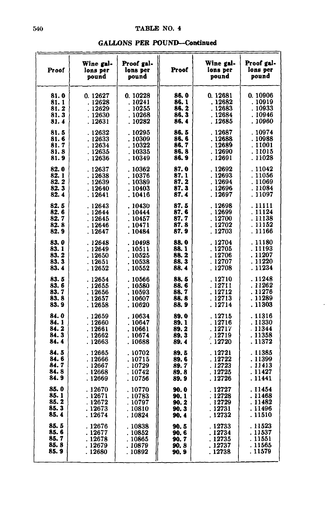|  |  | <b>GALLONS PER POUND-Continued</b> |
|--|--|------------------------------------|
|--|--|------------------------------------|

| Proof | Wine gal-<br>lons per<br>pound | Proof gal-<br>lons per<br>pound | Proof | Wine gal-<br>lons per<br>pound | Proof gal-<br>lons per<br>pound |
|-------|--------------------------------|---------------------------------|-------|--------------------------------|---------------------------------|
| 81.0  | 0.12627                        | 0.10228                         | 86. O | 0.12681                        | 0.10906                         |
| 81.1  | . 12628                        | . 10241                         | 86. 1 | . 12682                        | . 10919                         |
| 81.2  | .12629                         | . 10255                         | 86. 2 | . 12683                        | . 10933                         |
| 81.3  | . 12630                        | . 10268                         | 86.3  | . 12684                        | . 10946                         |
| 81.4  | . 12631                        | . 10282                         | 86. 4 | . 12685                        | . 10960                         |
| 81.5  | . 12632                        | .10295                          | 86.5  | . 12687                        | . 10974                         |
| 81.6  | .12633                         | .10309                          | 86.6  | . 12688                        | . 10988                         |
| 81.7  | . 12634                        | . 10322                         | 86.7  | . 12689                        | . 11001                         |
| 81.8  | . 12635                        | . 10335                         | 86.8  | . 12690                        | . 11015                         |
| 81.9  | . 12636                        | .10349                          | 86.9  | . 12691                        | . 11028                         |
| 82.0  | . 12637                        | . 10362                         | 87.0  | 12692                          | . 11042                         |
| 82.1  | .12638                         | . 10376                         | 87. 1 | . 12693                        | . 11056                         |
| 82. 2 | . 12639                        | . 10389                         | 87. 2 | . 12694                        | . 11069                         |
| 82.3  | .12640                         | .10403                          | 87.3  | .12696                         | . 11084                         |
| 82.4  | . 12641                        | . 10416                         | 87.4  | . 12697                        | . 11097                         |
| 82.5  | . 12643                        | .10430                          | 87.5  | .12698                         | . 11111                         |
| 82.6  | .12644                         | . 10444                         | 87. 6 | . 12699                        | . 11124                         |
| 82.7  | .12645                         | .10457                          | 87.7  | .12700                         | . 11138                         |
| 82.8  | .12646                         | . 10471                         | 87. 8 | . 12702                        | . 11152                         |
| 82. 9 | . 12647                        | . 10484                         | 87. 9 | . 12703                        | . 11166                         |
| 83.0  | . 12648                        | .10498                          | 88. O | . 12704                        | . 11180                         |
| 83.1  | . 12649                        | . 10511                         | 88.1  | .12705                         | . 11193                         |
| 83.2  | . 12650                        | . 10525                         | 88.2  | . 12706                        | .11207                          |
| 83.3  | . 12651                        | . 10538                         | 88. 3 | . 12707                        | . 11220                         |
| 83.4  | . 12652                        | . 10552                         | 88.4  | . 12708                        | . 11234                         |
| 83.5  | . 12654                        | .10566                          | 88.5  | . 12710                        | . 11248                         |
| 83.6  | . 12655                        | . 10580                         | 88.6  | . 12711                        | .11262                          |
| 83.7  | . 12656                        | . 10593                         | 88.7  | . 12712                        | . 11276                         |
| 83.8  | .12657                         | . 10607                         | 88.8  | . 12713                        | . 11289                         |
| 83.9  | . 12658                        | . 10620                         | 88.9  | . 12714                        | . 11303                         |
| 84.0  | . 12659                        | . 10634                         | 89.0  | . 12715                        | . 11316                         |
| 84. 1 | . 12660                        | . 10647                         | 89.1  | . 12716                        | .11330                          |
| 84.2  | . 12661                        | . 10661                         | 89.2  | . 12717                        | . 11344                         |
| 84.3  | . 12662                        | . 10674                         | 89. 3 | . 12719                        | . 11358                         |
| 84.4  | . 12663                        | . 10688                         | 89.4  | . 12720                        | . 11372                         |
| 84.5  | . 12665                        | . 10702                         | 89.5  | . 12721                        | . 11385                         |
| 84.6  | . 12666                        | . 10715                         | 89.6  | . 12722                        | . 11399                         |
| 84. 7 | . 12667                        | . 10729                         | 89. 7 | . 12723                        | . 11413                         |
| 84. 8 | . 12668                        | . 10742                         | 89.8  | . 12725                        | . 11427                         |
| 84.9  | . 12669                        | . 10756                         | 89.9  | . 12726                        | . 11441                         |
| 85.0  | .12670                         | . 10770                         | 90. 0 | . 12727                        | . 11454                         |
| 85. 1 | . 12671                        | . 10783                         | 90. 1 | . 12728                        | . 11468                         |
| 85.2  | . 12672                        | . 10797                         | 90. 2 | .12729                         | . 11482                         |
| 85.3  | . 12673                        | . 10810                         | 90. 3 | . 12731                        | . 11496                         |
| 85.4  | . 12674                        | . 10824                         | 90. 4 | . 12732                        | . 11510                         |
| 85.5  | .12676                         | . 10838                         | 90.5  | . 12733                        | . 11523                         |
| 85.6  | . 12677                        | . 10852                         | 90. 6 | . 12734                        | . 11537                         |
| 85.7  | . 12678                        | . 10865                         | 90.7  | . 12735                        | . 11551                         |
| 85. 8 | . 12679                        | . 10879                         | 90.8  | . 12737                        | . 11565                         |
| 85.9  | . 12680                        | . 10892                         | 90.9  | . 12738                        | . 11579                         |

 $\cdot$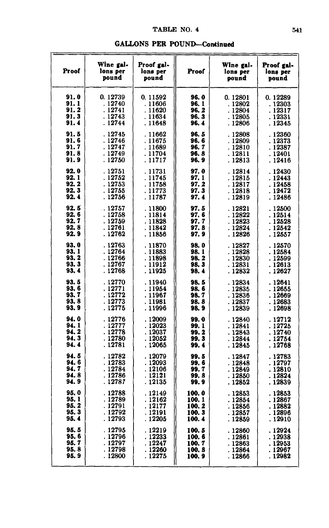| Proof | Wine gal-<br>lons per<br>pound | Proof gal-<br>lons per<br>pound | Proof | Wine gal-<br>lons per<br>pound | Proof gal-<br>lons per<br>pound |
|-------|--------------------------------|---------------------------------|-------|--------------------------------|---------------------------------|
| 91.0  | 0.12739                        | 0.11592                         | 96.0  | 0.12801                        | 0.12289                         |
| 91.1  | .12740                         | .11606                          | 96, 1 | . 12802                        | . 12303                         |
| 91.2  | . 12741                        | . 11620                         | 96.2  | .12804                         | . 12317                         |
| 91.3  | . 12743                        | . 11634                         | 96.3  | .12805                         | . 12331                         |
| 91.4  | . 12744                        | . 11648                         | 96.4  | . 12806                        | . 12345                         |
| 91.5  | . 12745                        | .11662                          | 96.5  | .12808                         | .12360                          |
| 91.6  | . 12746                        | . 11675                         | 96.6  | .12809                         | . 12373                         |
| 91.7  | . 12747                        | . 11689                         | 96.7  | . 12810                        | . 12387                         |
| 91.8  | . 12749                        | . 11704                         | 96.8  | .12811                         | . 12401                         |
| 91.9  | . 12750                        | . 11717                         | 96, 9 | . 12813                        | . 12416                         |
| 92.0  | . 12751                        | .11731                          | 97.0  | . 12814                        | .12430                          |
| 92.1  | . 12752                        | .11745                          | 97.1  | . 12815                        | . 12443                         |
| 92.2  | . 12753                        | . 11758                         | 97.2  | . 12817                        | . 12458                         |
| 92.3  | . 12755                        | . 11773                         | 97.3  | . 12818                        | . 12472                         |
| 92.4  | . 12756                        | . 11787                         | 97.4  | . 12819                        | . 12486                         |
| 92.5  | 12757                          | .11800                          | 97.5  | . 12821                        | . 12500                         |
| 92.6  | . 12758                        | . 11814                         | 97.6  | . 12822                        | . 12514                         |
| 92. 7 | . 12759                        | . 11828                         | 97.7  | . 12823                        | . 12528                         |
| 92.8  | .12761                         | . 11842                         | 97.8  | . 12824                        | . 12542                         |
| 92.9  | . 12762                        | . 11856                         | 97. 9 | . 12826                        | . 12557                         |
| 93.0  | .12763                         | . 11870                         | 98.0  | . 12827                        | . 12570                         |
| 93.1  | . 12764                        | . 11883                         | 98.1  | . 12828                        | . 12584                         |
| 93.2  | . 12766                        | . 11898                         | 98.2  | . 12830                        | . 12599                         |
| 93.3  | .12767                         | . 11912                         | 98.3  | . 12831                        | .12613                          |
| 93.4  | . 12768                        | . 11925                         | 98.4  | . 12832                        | . 12627                         |
| 93.5  | . 12770                        | . 11940                         | 98.5  | .12834                         | . 12641                         |
| 93.6  | . 12771                        | . 11954                         | 98. 6 | .12835                         | . 12655                         |
| 93.7  | . 12772                        | . 11967                         | 98. 7 | .12836                         | . 12669                         |
| 93.8  | . 12773                        | . 11981                         | 98.8  | .12837                         | .12683                          |
| 93.9  | . 12775                        | . 11996                         | 98. 9 | . 12839                        | . 12698                         |
| 94.0  | . 12776                        | . 12009                         | 99.0  | .12840                         | . 12712                         |
| 94.1  | . 12777                        | . 12023                         | 99. 1 | . 12841                        | . 12725                         |
| 94.2  | .12778                         | . 12037                         | 99.2  | . 12843                        | . 12740                         |
| 94.3  | .12780                         | .12052                          | 99.3  | . 12844                        | . 12754                         |
| 94.4  | . 12781                        | . 12065                         | 99.4  | . 12845                        | . 12768                         |
| 94.5  | .12782                         | .12079                          | 99.5  | . 12847                        | . 12783                         |
| 94.6  | . 12783                        | .12093                          | 99.6  | . 12848                        | . 12797                         |
| 94.7  | . 12784                        | . 12106                         | 99.7  | .12849                         | . 12810                         |
| 94.8  | . 12786                        | . 12121                         | 99.8  | . 12850                        | . 12824                         |
| 94.9  | . 12787                        | . 12135                         | 99.9  | . 12852                        | . 12839                         |
| 95.0  | . 12788                        | . 12149                         | 100.0 | .12853                         | . 12853                         |
| 95.1  | . 12789                        | . 12162                         | 100.1 | .12854                         | . 12867                         |
| 95. 2 | . 12791                        | . 12177                         | 100.2 | . 12856                        | . 12882                         |
| 95.3  | . 12792                        | . 12191                         | 100.3 | . 12857                        | . 12896                         |
| 95.4  | . 12793                        | . 12205                         | 100.4 | . 12859                        | . 12910                         |
| 95.5  | . 12795                        | . 12219                         | 100.5 | . 12860                        | . 12924                         |
| 95.6  | . 12796                        | . 12233                         | 100.6 | . 12861                        | . 12938                         |
| 95.7  | . 12797                        | . 12247                         | 100.7 | .12863                         | . 12953                         |
| 95.8  | . 12798                        | . 12260                         | 100.8 | . 12864                        | . 12967                         |
| 95.9  | . 12800                        | . 12275                         | 100.9 | . 12866                        | . 12982                         |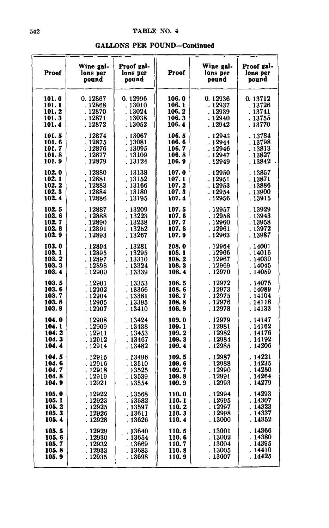| <b>GALLONS PER POUND-Continued</b> |  |
|------------------------------------|--|
|------------------------------------|--|

| Proof | Wine gal-<br>lons per<br>pound | Proof gal-<br>lons per<br>pound | Proof | Wine gal-<br>lons per<br>pound | Proof gal-<br>lons per<br>pound |
|-------|--------------------------------|---------------------------------|-------|--------------------------------|---------------------------------|
| 101.0 | 0.12867                        | 0.12996                         | 106.0 | 0.12936                        | 0.13712                         |
| 101.1 | .12868                         | .13010                          | 106.1 | . 12937                        | . 13726                         |
| 101.2 | . 12870                        | .13024                          | 106.2 | . 12939                        | . 13741                         |
| 101.3 | . 12871                        | . 13038                         | 106.3 | .12940                         | . 13755                         |
| 101.4 | . 12872                        | . 13052                         | 106.4 | . 12942                        | .13770                          |
| 101.5 | .12874                         | .13067                          | 106.5 | .12943                         | .13784                          |
| 101.6 | . 12875                        | .13081                          | 106.6 | .12944                         | .13798                          |
| 101.7 | .12876                         | . 13095                         | 106.7 | . 12946                        | . 13813                         |
| 101.8 | . 12877                        | .13109                          | 106.8 | .12947                         | . 13827                         |
| 101.9 | .12879                         | .13124                          | 106.9 | . 12949                        | . 13842                         |
| 102.0 | . 12880                        | .13138                          | 107.0 | .12950                         | .13857                          |
| 102.1 | . 12881                        | .13152                          | 107.1 | . 12951                        | . 13871                         |
| 102.2 | .12883                         | .13166                          | 107.2 | . 12953                        | .13886                          |
| 102.3 | .12884                         | .13180                          | 107.3 | .12954                         | . 13900                         |
| 102.4 | . 12886                        | . 13195                         | 107.4 | . 12956                        | . 13915                         |
| 102.5 | . 12887                        | .13209                          | 107.5 | . 12957                        | .13929                          |
| 102.6 | .12888                         | .13223                          | 107.6 | . 12958                        | .13943                          |
| 102.7 | .12890                         | . 13238                         | 107.7 | .12960                         | . 13958                         |
| 102.8 | . 12891                        | . 13252                         | 107.8 | . 12961                        | . 13972                         |
| 102.9 | . 12893                        | .13267                          | 107.9 | . 12963                        | . 13987                         |
| 103.0 | .12894                         | .13281                          | 108.0 | .12964                         | .14001                          |
| 103.1 | .12895                         | .13295                          | 108.1 | . 12966                        | . 14016                         |
| 103.2 | . 12897                        | . 13310                         | 108.2 | . 12967                        | .14030                          |
| 103.3 | . 12898                        | . 13324                         | 108.3 | . 12969                        | .14045                          |
| 103.4 | . 12900                        | . 13339                         | 108.4 | . 12970                        | .14059                          |
| 103.5 | . 12901                        | .13353                          | 108.5 | .12972                         | . 14075                         |
| 103.6 | .12902                         | .13366                          | 108.6 | . 12973                        | . 14089                         |
| 103.7 | . 12904                        | . 13381                         | 108.7 | .12975                         | . 14104                         |
| 103.8 | .12905                         | .13395                          | 108.8 | .12976                         | . 14118                         |
| 103.9 | .12907                         | . 13410                         | 108.9 | .12978                         | . 14133                         |
| 104.0 | .12908                         | . 13424                         | 109.0 | . 12979                        | . 14147                         |
| 104.1 | . 12909                        | .13438                          | 109.1 | . 12981                        | . 14162                         |
| 104.2 | . 12911                        | . 13453                         | 109.2 | . 12982                        | . 14176                         |
| 104.3 | .12912                         | . 13467                         | 109.3 | .12984                         | . 14192                         |
| 104.4 | . 12914                        | .13482                          | 109.4 | . 12985                        | .14206                          |
| 104.5 | . 12915                        | .13496                          | 109.5 | .12987                         | . 14221                         |
| 104.6 | . 12916                        | . 13510                         | 109.6 | .12988                         | . 14235                         |
| 104.7 | .12918                         | .13525                          | 109.7 | . 12990                        | . 14250                         |
| 104.8 | .12919                         | .13539                          | 109.8 | . 12991                        | . 14264                         |
| 104.9 | .12921                         | . 13554                         | 109.9 | . 12993                        | . 14279                         |
| 105.0 | .12922                         | .13568                          | 110.0 | .12994                         | .14293                          |
| 105.1 | .12923                         | .13582                          | 110.1 | .12995                         | .14307                          |
| 105.2 | .12925                         | .13597                          | 110.2 | . 12997                        | .14323                          |
| 105.3 | . 12926                        | .13611                          | 110.3 | . 12998                        | .14337                          |
| 105.4 | . 12928                        | .13626                          | 110.4 | .13000                         | . 14352                         |
| 105.5 | . 12929                        | .13640                          | 110.5 | .13001                         | .14366                          |
| 105.6 | .12930                         | .13654                          | 110.6 | . 13002                        | .14380                          |
| 105.7 | .12932                         | . 13669                         | 110.7 | . 13004                        | . 14395                         |
| 105.8 | . 12933                        | . 13683                         | 110.8 | . 13005                        | . 14410                         |
| 105.9 | . 12935                        | . 13698                         | 110.9 | . 13007                        | . 14425                         |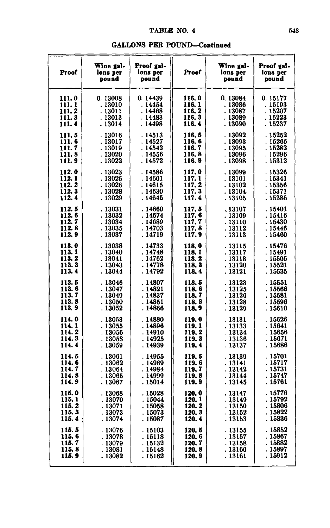| pound<br>pound<br>pound<br>pound<br>0.13008<br>0.14439<br>0.13084<br>0.15177<br>111.0<br>116.0<br>111.1<br>.13010<br>116.1<br>. 14454<br>.13086<br>. 15193<br>111.2<br>116, 2<br>.15207<br>. 13011<br>.14468<br>. 13087<br>116.3<br>. 15223<br>111.3<br>. 13013<br>. 14483<br>. 13089<br>. 14498<br>116.4<br>. 13090<br>. 15237<br>111.4<br>. 13014<br>116, 5<br>. 13092<br>. 15252<br>111.5<br>.13016<br>. 14513<br>116.6<br>111.6<br>. 14527<br>.13093<br>. 15266<br>. 13017<br>116.7<br>111.7<br>.13019<br>. 14542<br>. 15282<br>. 13095<br>111.8<br>. 13020<br>116.8<br>.13096<br>. 15296<br>. 14556<br>. 15312<br>111.9<br>. 13022<br>. 14572<br>116.9<br>. 13098<br>112.0<br>117.0<br>. 15326<br>.13023<br>. 14586<br>.13099<br>112.1<br>.13025<br>. 14601<br>117. 1<br>. 13101<br>. 15341<br>112.2<br>. 13026<br>. 14615<br>117.2<br>. 13102<br>. 15356<br>112.3<br>117.3<br>. 15371<br>. 13028<br>. 14630<br>.13104<br>112.4<br>117.4<br>. 13029<br>.14645<br>. 13105<br>. 15385<br>112.5<br>.13031<br>.14660<br>117. 5<br>.13107<br>. 15401<br>112.6<br>. 13032<br>.14674<br>117.6<br>.15416<br>.13109<br>117.7<br>112.7<br>. 13034<br>. 14689<br>. 13110<br>. 15430<br>112.8<br>. 13035<br>. 14703<br>117.8<br>. 13112<br>. 15446<br>112. 9<br>. 13037<br>. 14719<br>117.9<br>. 13113<br>.15460<br>113.0<br>. 14733<br>. 13038<br>118.0<br>.13115<br>. 15476<br>113.1<br>.14748<br>118.1<br>. 13040<br>. 13117<br>. 15491<br>113.2<br>. 13041<br>. 14762<br>118, 2<br>. 15505<br>.13118<br>113.3<br>. 14778<br>. 13043<br>118.3<br>. 13120<br>. 15521<br>113.4<br>. 14792<br>.13044<br>. 15535<br>118.4<br>. 13121<br>113.5<br>. 13046<br>.14807<br>. 15551<br>118. 5<br>.13123<br>113.6<br>. 13047<br>. 14821<br>118.6<br>. 13125<br>. 15566<br>113.7<br>.14837<br>. 13049<br>118.7<br>. 13126<br>. 15581<br>113.8<br>. 14851<br>.13050<br>118.8<br>. 15596<br>. 13128<br>113.9<br>.13052<br>. 14866<br>118.9<br>. 13129<br>. 15610<br>114.0<br>. 13053<br>.14880<br>119.0<br>. 15626<br>.13131<br>114.1<br>. 13055<br>. 14896<br>119. 1<br>.13133<br>. 15641<br>114.2<br>119.2<br>. 15656<br>. 13056<br>. 14910<br>. 13134<br>114.3<br>. 14925<br>119.3<br>. 15671<br>. 13058<br>.13136<br>114.4<br>.14939<br>. 15686<br>. 13059<br>119.4<br>. 13137<br>114.5<br>. 15701<br>.13061<br>.14955<br>119.5<br>.13139<br>114.6<br>. 15717<br>. 13062<br>.14969<br>119.6<br>. 13141<br>114.7<br>. 15731<br>. 13064<br>. 14984<br>119.7<br>. 13142<br>114.8<br>.14999<br>. 15747<br>.13065<br>119.8<br>.13144<br>114.9<br>. 15761<br>. 15014<br>119.9<br>.13145<br>. 13067<br>115.0<br>. 15776<br>120.0<br>.13068<br>.15028<br>. 13147<br>. 15792<br>115.1<br>. 13070<br>.15044<br>120.1<br>.13149<br>115.2<br>120.2<br>. 15806<br>. 13071<br>. 15058<br>.13150<br>115.3<br>.13073<br>. 15822<br>. 15073<br>120.3<br>.13152<br>115.4<br>. 13074<br>.15087<br>120.4<br>. 15836<br>. 13153<br>.15852<br>115.5<br>. 13076<br>. 15103<br>120. 5<br>.13155<br>115.6<br>. 13078<br>120.6<br>. 13157<br>. 15867<br>. 15118<br>115.7<br>120.7<br>.15882<br>. 13079<br>. 15132<br>.13158<br>115.8<br>. 15897<br>120.8<br>. 13081<br>. 15148<br>. 13160 | <b>Proof</b> | Wine gal-<br>lons per | Proof gal-<br>lons per | Proof | Wine gal-<br>lons per | Proof gal-<br>lons per |
|---------------------------------------------------------------------------------------------------------------------------------------------------------------------------------------------------------------------------------------------------------------------------------------------------------------------------------------------------------------------------------------------------------------------------------------------------------------------------------------------------------------------------------------------------------------------------------------------------------------------------------------------------------------------------------------------------------------------------------------------------------------------------------------------------------------------------------------------------------------------------------------------------------------------------------------------------------------------------------------------------------------------------------------------------------------------------------------------------------------------------------------------------------------------------------------------------------------------------------------------------------------------------------------------------------------------------------------------------------------------------------------------------------------------------------------------------------------------------------------------------------------------------------------------------------------------------------------------------------------------------------------------------------------------------------------------------------------------------------------------------------------------------------------------------------------------------------------------------------------------------------------------------------------------------------------------------------------------------------------------------------------------------------------------------------------------------------------------------------------------------------------------------------------------------------------------------------------------------------------------------------------------------------------------------------------------------------------------------------------------------------------------------------------------------------------------------------------------------------------------------------------------------------------------------------------------------------------------------------------------------------------------------------------------------------------------------------------------------------------------------------------------------------------------------------------------------------------------------------------------------------------------------------------------------------------------------------------------------------------------------------------------------------------------------------------------------------------------------------------------------------------------------|--------------|-----------------------|------------------------|-------|-----------------------|------------------------|
|                                                                                                                                                                                                                                                                                                                                                                                                                                                                                                                                                                                                                                                                                                                                                                                                                                                                                                                                                                                                                                                                                                                                                                                                                                                                                                                                                                                                                                                                                                                                                                                                                                                                                                                                                                                                                                                                                                                                                                                                                                                                                                                                                                                                                                                                                                                                                                                                                                                                                                                                                                                                                                                                                                                                                                                                                                                                                                                                                                                                                                                                                                                                                   |              |                       |                        |       |                       |                        |
|                                                                                                                                                                                                                                                                                                                                                                                                                                                                                                                                                                                                                                                                                                                                                                                                                                                                                                                                                                                                                                                                                                                                                                                                                                                                                                                                                                                                                                                                                                                                                                                                                                                                                                                                                                                                                                                                                                                                                                                                                                                                                                                                                                                                                                                                                                                                                                                                                                                                                                                                                                                                                                                                                                                                                                                                                                                                                                                                                                                                                                                                                                                                                   |              |                       |                        |       |                       |                        |
|                                                                                                                                                                                                                                                                                                                                                                                                                                                                                                                                                                                                                                                                                                                                                                                                                                                                                                                                                                                                                                                                                                                                                                                                                                                                                                                                                                                                                                                                                                                                                                                                                                                                                                                                                                                                                                                                                                                                                                                                                                                                                                                                                                                                                                                                                                                                                                                                                                                                                                                                                                                                                                                                                                                                                                                                                                                                                                                                                                                                                                                                                                                                                   |              |                       |                        |       |                       |                        |
|                                                                                                                                                                                                                                                                                                                                                                                                                                                                                                                                                                                                                                                                                                                                                                                                                                                                                                                                                                                                                                                                                                                                                                                                                                                                                                                                                                                                                                                                                                                                                                                                                                                                                                                                                                                                                                                                                                                                                                                                                                                                                                                                                                                                                                                                                                                                                                                                                                                                                                                                                                                                                                                                                                                                                                                                                                                                                                                                                                                                                                                                                                                                                   |              |                       |                        |       |                       |                        |
|                                                                                                                                                                                                                                                                                                                                                                                                                                                                                                                                                                                                                                                                                                                                                                                                                                                                                                                                                                                                                                                                                                                                                                                                                                                                                                                                                                                                                                                                                                                                                                                                                                                                                                                                                                                                                                                                                                                                                                                                                                                                                                                                                                                                                                                                                                                                                                                                                                                                                                                                                                                                                                                                                                                                                                                                                                                                                                                                                                                                                                                                                                                                                   |              |                       |                        |       |                       |                        |
|                                                                                                                                                                                                                                                                                                                                                                                                                                                                                                                                                                                                                                                                                                                                                                                                                                                                                                                                                                                                                                                                                                                                                                                                                                                                                                                                                                                                                                                                                                                                                                                                                                                                                                                                                                                                                                                                                                                                                                                                                                                                                                                                                                                                                                                                                                                                                                                                                                                                                                                                                                                                                                                                                                                                                                                                                                                                                                                                                                                                                                                                                                                                                   |              |                       |                        |       |                       |                        |
|                                                                                                                                                                                                                                                                                                                                                                                                                                                                                                                                                                                                                                                                                                                                                                                                                                                                                                                                                                                                                                                                                                                                                                                                                                                                                                                                                                                                                                                                                                                                                                                                                                                                                                                                                                                                                                                                                                                                                                                                                                                                                                                                                                                                                                                                                                                                                                                                                                                                                                                                                                                                                                                                                                                                                                                                                                                                                                                                                                                                                                                                                                                                                   |              |                       |                        |       |                       |                        |
|                                                                                                                                                                                                                                                                                                                                                                                                                                                                                                                                                                                                                                                                                                                                                                                                                                                                                                                                                                                                                                                                                                                                                                                                                                                                                                                                                                                                                                                                                                                                                                                                                                                                                                                                                                                                                                                                                                                                                                                                                                                                                                                                                                                                                                                                                                                                                                                                                                                                                                                                                                                                                                                                                                                                                                                                                                                                                                                                                                                                                                                                                                                                                   |              |                       |                        |       |                       |                        |
|                                                                                                                                                                                                                                                                                                                                                                                                                                                                                                                                                                                                                                                                                                                                                                                                                                                                                                                                                                                                                                                                                                                                                                                                                                                                                                                                                                                                                                                                                                                                                                                                                                                                                                                                                                                                                                                                                                                                                                                                                                                                                                                                                                                                                                                                                                                                                                                                                                                                                                                                                                                                                                                                                                                                                                                                                                                                                                                                                                                                                                                                                                                                                   |              |                       |                        |       |                       |                        |
|                                                                                                                                                                                                                                                                                                                                                                                                                                                                                                                                                                                                                                                                                                                                                                                                                                                                                                                                                                                                                                                                                                                                                                                                                                                                                                                                                                                                                                                                                                                                                                                                                                                                                                                                                                                                                                                                                                                                                                                                                                                                                                                                                                                                                                                                                                                                                                                                                                                                                                                                                                                                                                                                                                                                                                                                                                                                                                                                                                                                                                                                                                                                                   |              |                       |                        |       |                       |                        |
|                                                                                                                                                                                                                                                                                                                                                                                                                                                                                                                                                                                                                                                                                                                                                                                                                                                                                                                                                                                                                                                                                                                                                                                                                                                                                                                                                                                                                                                                                                                                                                                                                                                                                                                                                                                                                                                                                                                                                                                                                                                                                                                                                                                                                                                                                                                                                                                                                                                                                                                                                                                                                                                                                                                                                                                                                                                                                                                                                                                                                                                                                                                                                   |              |                       |                        |       |                       |                        |
|                                                                                                                                                                                                                                                                                                                                                                                                                                                                                                                                                                                                                                                                                                                                                                                                                                                                                                                                                                                                                                                                                                                                                                                                                                                                                                                                                                                                                                                                                                                                                                                                                                                                                                                                                                                                                                                                                                                                                                                                                                                                                                                                                                                                                                                                                                                                                                                                                                                                                                                                                                                                                                                                                                                                                                                                                                                                                                                                                                                                                                                                                                                                                   |              |                       |                        |       |                       |                        |
|                                                                                                                                                                                                                                                                                                                                                                                                                                                                                                                                                                                                                                                                                                                                                                                                                                                                                                                                                                                                                                                                                                                                                                                                                                                                                                                                                                                                                                                                                                                                                                                                                                                                                                                                                                                                                                                                                                                                                                                                                                                                                                                                                                                                                                                                                                                                                                                                                                                                                                                                                                                                                                                                                                                                                                                                                                                                                                                                                                                                                                                                                                                                                   |              |                       |                        |       |                       |                        |
|                                                                                                                                                                                                                                                                                                                                                                                                                                                                                                                                                                                                                                                                                                                                                                                                                                                                                                                                                                                                                                                                                                                                                                                                                                                                                                                                                                                                                                                                                                                                                                                                                                                                                                                                                                                                                                                                                                                                                                                                                                                                                                                                                                                                                                                                                                                                                                                                                                                                                                                                                                                                                                                                                                                                                                                                                                                                                                                                                                                                                                                                                                                                                   |              |                       |                        |       |                       |                        |
|                                                                                                                                                                                                                                                                                                                                                                                                                                                                                                                                                                                                                                                                                                                                                                                                                                                                                                                                                                                                                                                                                                                                                                                                                                                                                                                                                                                                                                                                                                                                                                                                                                                                                                                                                                                                                                                                                                                                                                                                                                                                                                                                                                                                                                                                                                                                                                                                                                                                                                                                                                                                                                                                                                                                                                                                                                                                                                                                                                                                                                                                                                                                                   |              |                       |                        |       |                       |                        |
|                                                                                                                                                                                                                                                                                                                                                                                                                                                                                                                                                                                                                                                                                                                                                                                                                                                                                                                                                                                                                                                                                                                                                                                                                                                                                                                                                                                                                                                                                                                                                                                                                                                                                                                                                                                                                                                                                                                                                                                                                                                                                                                                                                                                                                                                                                                                                                                                                                                                                                                                                                                                                                                                                                                                                                                                                                                                                                                                                                                                                                                                                                                                                   |              |                       |                        |       |                       |                        |
|                                                                                                                                                                                                                                                                                                                                                                                                                                                                                                                                                                                                                                                                                                                                                                                                                                                                                                                                                                                                                                                                                                                                                                                                                                                                                                                                                                                                                                                                                                                                                                                                                                                                                                                                                                                                                                                                                                                                                                                                                                                                                                                                                                                                                                                                                                                                                                                                                                                                                                                                                                                                                                                                                                                                                                                                                                                                                                                                                                                                                                                                                                                                                   |              |                       |                        |       |                       |                        |
|                                                                                                                                                                                                                                                                                                                                                                                                                                                                                                                                                                                                                                                                                                                                                                                                                                                                                                                                                                                                                                                                                                                                                                                                                                                                                                                                                                                                                                                                                                                                                                                                                                                                                                                                                                                                                                                                                                                                                                                                                                                                                                                                                                                                                                                                                                                                                                                                                                                                                                                                                                                                                                                                                                                                                                                                                                                                                                                                                                                                                                                                                                                                                   |              |                       |                        |       |                       |                        |
|                                                                                                                                                                                                                                                                                                                                                                                                                                                                                                                                                                                                                                                                                                                                                                                                                                                                                                                                                                                                                                                                                                                                                                                                                                                                                                                                                                                                                                                                                                                                                                                                                                                                                                                                                                                                                                                                                                                                                                                                                                                                                                                                                                                                                                                                                                                                                                                                                                                                                                                                                                                                                                                                                                                                                                                                                                                                                                                                                                                                                                                                                                                                                   |              |                       |                        |       |                       |                        |
|                                                                                                                                                                                                                                                                                                                                                                                                                                                                                                                                                                                                                                                                                                                                                                                                                                                                                                                                                                                                                                                                                                                                                                                                                                                                                                                                                                                                                                                                                                                                                                                                                                                                                                                                                                                                                                                                                                                                                                                                                                                                                                                                                                                                                                                                                                                                                                                                                                                                                                                                                                                                                                                                                                                                                                                                                                                                                                                                                                                                                                                                                                                                                   |              |                       |                        |       |                       |                        |
|                                                                                                                                                                                                                                                                                                                                                                                                                                                                                                                                                                                                                                                                                                                                                                                                                                                                                                                                                                                                                                                                                                                                                                                                                                                                                                                                                                                                                                                                                                                                                                                                                                                                                                                                                                                                                                                                                                                                                                                                                                                                                                                                                                                                                                                                                                                                                                                                                                                                                                                                                                                                                                                                                                                                                                                                                                                                                                                                                                                                                                                                                                                                                   |              |                       |                        |       |                       |                        |
|                                                                                                                                                                                                                                                                                                                                                                                                                                                                                                                                                                                                                                                                                                                                                                                                                                                                                                                                                                                                                                                                                                                                                                                                                                                                                                                                                                                                                                                                                                                                                                                                                                                                                                                                                                                                                                                                                                                                                                                                                                                                                                                                                                                                                                                                                                                                                                                                                                                                                                                                                                                                                                                                                                                                                                                                                                                                                                                                                                                                                                                                                                                                                   |              |                       |                        |       |                       |                        |
|                                                                                                                                                                                                                                                                                                                                                                                                                                                                                                                                                                                                                                                                                                                                                                                                                                                                                                                                                                                                                                                                                                                                                                                                                                                                                                                                                                                                                                                                                                                                                                                                                                                                                                                                                                                                                                                                                                                                                                                                                                                                                                                                                                                                                                                                                                                                                                                                                                                                                                                                                                                                                                                                                                                                                                                                                                                                                                                                                                                                                                                                                                                                                   |              |                       |                        |       |                       |                        |
|                                                                                                                                                                                                                                                                                                                                                                                                                                                                                                                                                                                                                                                                                                                                                                                                                                                                                                                                                                                                                                                                                                                                                                                                                                                                                                                                                                                                                                                                                                                                                                                                                                                                                                                                                                                                                                                                                                                                                                                                                                                                                                                                                                                                                                                                                                                                                                                                                                                                                                                                                                                                                                                                                                                                                                                                                                                                                                                                                                                                                                                                                                                                                   |              |                       |                        |       |                       |                        |
|                                                                                                                                                                                                                                                                                                                                                                                                                                                                                                                                                                                                                                                                                                                                                                                                                                                                                                                                                                                                                                                                                                                                                                                                                                                                                                                                                                                                                                                                                                                                                                                                                                                                                                                                                                                                                                                                                                                                                                                                                                                                                                                                                                                                                                                                                                                                                                                                                                                                                                                                                                                                                                                                                                                                                                                                                                                                                                                                                                                                                                                                                                                                                   |              |                       |                        |       |                       |                        |
|                                                                                                                                                                                                                                                                                                                                                                                                                                                                                                                                                                                                                                                                                                                                                                                                                                                                                                                                                                                                                                                                                                                                                                                                                                                                                                                                                                                                                                                                                                                                                                                                                                                                                                                                                                                                                                                                                                                                                                                                                                                                                                                                                                                                                                                                                                                                                                                                                                                                                                                                                                                                                                                                                                                                                                                                                                                                                                                                                                                                                                                                                                                                                   |              |                       |                        |       |                       |                        |
|                                                                                                                                                                                                                                                                                                                                                                                                                                                                                                                                                                                                                                                                                                                                                                                                                                                                                                                                                                                                                                                                                                                                                                                                                                                                                                                                                                                                                                                                                                                                                                                                                                                                                                                                                                                                                                                                                                                                                                                                                                                                                                                                                                                                                                                                                                                                                                                                                                                                                                                                                                                                                                                                                                                                                                                                                                                                                                                                                                                                                                                                                                                                                   |              |                       |                        |       |                       |                        |
|                                                                                                                                                                                                                                                                                                                                                                                                                                                                                                                                                                                                                                                                                                                                                                                                                                                                                                                                                                                                                                                                                                                                                                                                                                                                                                                                                                                                                                                                                                                                                                                                                                                                                                                                                                                                                                                                                                                                                                                                                                                                                                                                                                                                                                                                                                                                                                                                                                                                                                                                                                                                                                                                                                                                                                                                                                                                                                                                                                                                                                                                                                                                                   |              |                       |                        |       |                       |                        |
|                                                                                                                                                                                                                                                                                                                                                                                                                                                                                                                                                                                                                                                                                                                                                                                                                                                                                                                                                                                                                                                                                                                                                                                                                                                                                                                                                                                                                                                                                                                                                                                                                                                                                                                                                                                                                                                                                                                                                                                                                                                                                                                                                                                                                                                                                                                                                                                                                                                                                                                                                                                                                                                                                                                                                                                                                                                                                                                                                                                                                                                                                                                                                   |              |                       |                        |       |                       |                        |
|                                                                                                                                                                                                                                                                                                                                                                                                                                                                                                                                                                                                                                                                                                                                                                                                                                                                                                                                                                                                                                                                                                                                                                                                                                                                                                                                                                                                                                                                                                                                                                                                                                                                                                                                                                                                                                                                                                                                                                                                                                                                                                                                                                                                                                                                                                                                                                                                                                                                                                                                                                                                                                                                                                                                                                                                                                                                                                                                                                                                                                                                                                                                                   |              |                       |                        |       |                       |                        |
|                                                                                                                                                                                                                                                                                                                                                                                                                                                                                                                                                                                                                                                                                                                                                                                                                                                                                                                                                                                                                                                                                                                                                                                                                                                                                                                                                                                                                                                                                                                                                                                                                                                                                                                                                                                                                                                                                                                                                                                                                                                                                                                                                                                                                                                                                                                                                                                                                                                                                                                                                                                                                                                                                                                                                                                                                                                                                                                                                                                                                                                                                                                                                   |              |                       |                        |       |                       |                        |
|                                                                                                                                                                                                                                                                                                                                                                                                                                                                                                                                                                                                                                                                                                                                                                                                                                                                                                                                                                                                                                                                                                                                                                                                                                                                                                                                                                                                                                                                                                                                                                                                                                                                                                                                                                                                                                                                                                                                                                                                                                                                                                                                                                                                                                                                                                                                                                                                                                                                                                                                                                                                                                                                                                                                                                                                                                                                                                                                                                                                                                                                                                                                                   |              |                       |                        |       |                       |                        |
|                                                                                                                                                                                                                                                                                                                                                                                                                                                                                                                                                                                                                                                                                                                                                                                                                                                                                                                                                                                                                                                                                                                                                                                                                                                                                                                                                                                                                                                                                                                                                                                                                                                                                                                                                                                                                                                                                                                                                                                                                                                                                                                                                                                                                                                                                                                                                                                                                                                                                                                                                                                                                                                                                                                                                                                                                                                                                                                                                                                                                                                                                                                                                   |              |                       |                        |       |                       |                        |
|                                                                                                                                                                                                                                                                                                                                                                                                                                                                                                                                                                                                                                                                                                                                                                                                                                                                                                                                                                                                                                                                                                                                                                                                                                                                                                                                                                                                                                                                                                                                                                                                                                                                                                                                                                                                                                                                                                                                                                                                                                                                                                                                                                                                                                                                                                                                                                                                                                                                                                                                                                                                                                                                                                                                                                                                                                                                                                                                                                                                                                                                                                                                                   |              |                       |                        |       |                       |                        |
|                                                                                                                                                                                                                                                                                                                                                                                                                                                                                                                                                                                                                                                                                                                                                                                                                                                                                                                                                                                                                                                                                                                                                                                                                                                                                                                                                                                                                                                                                                                                                                                                                                                                                                                                                                                                                                                                                                                                                                                                                                                                                                                                                                                                                                                                                                                                                                                                                                                                                                                                                                                                                                                                                                                                                                                                                                                                                                                                                                                                                                                                                                                                                   |              |                       |                        |       |                       |                        |
|                                                                                                                                                                                                                                                                                                                                                                                                                                                                                                                                                                                                                                                                                                                                                                                                                                                                                                                                                                                                                                                                                                                                                                                                                                                                                                                                                                                                                                                                                                                                                                                                                                                                                                                                                                                                                                                                                                                                                                                                                                                                                                                                                                                                                                                                                                                                                                                                                                                                                                                                                                                                                                                                                                                                                                                                                                                                                                                                                                                                                                                                                                                                                   |              |                       |                        |       |                       |                        |
|                                                                                                                                                                                                                                                                                                                                                                                                                                                                                                                                                                                                                                                                                                                                                                                                                                                                                                                                                                                                                                                                                                                                                                                                                                                                                                                                                                                                                                                                                                                                                                                                                                                                                                                                                                                                                                                                                                                                                                                                                                                                                                                                                                                                                                                                                                                                                                                                                                                                                                                                                                                                                                                                                                                                                                                                                                                                                                                                                                                                                                                                                                                                                   |              |                       |                        |       |                       |                        |
|                                                                                                                                                                                                                                                                                                                                                                                                                                                                                                                                                                                                                                                                                                                                                                                                                                                                                                                                                                                                                                                                                                                                                                                                                                                                                                                                                                                                                                                                                                                                                                                                                                                                                                                                                                                                                                                                                                                                                                                                                                                                                                                                                                                                                                                                                                                                                                                                                                                                                                                                                                                                                                                                                                                                                                                                                                                                                                                                                                                                                                                                                                                                                   |              |                       |                        |       |                       |                        |
|                                                                                                                                                                                                                                                                                                                                                                                                                                                                                                                                                                                                                                                                                                                                                                                                                                                                                                                                                                                                                                                                                                                                                                                                                                                                                                                                                                                                                                                                                                                                                                                                                                                                                                                                                                                                                                                                                                                                                                                                                                                                                                                                                                                                                                                                                                                                                                                                                                                                                                                                                                                                                                                                                                                                                                                                                                                                                                                                                                                                                                                                                                                                                   |              |                       |                        |       |                       |                        |
|                                                                                                                                                                                                                                                                                                                                                                                                                                                                                                                                                                                                                                                                                                                                                                                                                                                                                                                                                                                                                                                                                                                                                                                                                                                                                                                                                                                                                                                                                                                                                                                                                                                                                                                                                                                                                                                                                                                                                                                                                                                                                                                                                                                                                                                                                                                                                                                                                                                                                                                                                                                                                                                                                                                                                                                                                                                                                                                                                                                                                                                                                                                                                   |              |                       |                        |       |                       |                        |
|                                                                                                                                                                                                                                                                                                                                                                                                                                                                                                                                                                                                                                                                                                                                                                                                                                                                                                                                                                                                                                                                                                                                                                                                                                                                                                                                                                                                                                                                                                                                                                                                                                                                                                                                                                                                                                                                                                                                                                                                                                                                                                                                                                                                                                                                                                                                                                                                                                                                                                                                                                                                                                                                                                                                                                                                                                                                                                                                                                                                                                                                                                                                                   |              |                       |                        |       |                       |                        |
|                                                                                                                                                                                                                                                                                                                                                                                                                                                                                                                                                                                                                                                                                                                                                                                                                                                                                                                                                                                                                                                                                                                                                                                                                                                                                                                                                                                                                                                                                                                                                                                                                                                                                                                                                                                                                                                                                                                                                                                                                                                                                                                                                                                                                                                                                                                                                                                                                                                                                                                                                                                                                                                                                                                                                                                                                                                                                                                                                                                                                                                                                                                                                   |              |                       |                        |       |                       |                        |
|                                                                                                                                                                                                                                                                                                                                                                                                                                                                                                                                                                                                                                                                                                                                                                                                                                                                                                                                                                                                                                                                                                                                                                                                                                                                                                                                                                                                                                                                                                                                                                                                                                                                                                                                                                                                                                                                                                                                                                                                                                                                                                                                                                                                                                                                                                                                                                                                                                                                                                                                                                                                                                                                                                                                                                                                                                                                                                                                                                                                                                                                                                                                                   |              |                       |                        |       |                       |                        |
|                                                                                                                                                                                                                                                                                                                                                                                                                                                                                                                                                                                                                                                                                                                                                                                                                                                                                                                                                                                                                                                                                                                                                                                                                                                                                                                                                                                                                                                                                                                                                                                                                                                                                                                                                                                                                                                                                                                                                                                                                                                                                                                                                                                                                                                                                                                                                                                                                                                                                                                                                                                                                                                                                                                                                                                                                                                                                                                                                                                                                                                                                                                                                   |              |                       |                        |       |                       |                        |
|                                                                                                                                                                                                                                                                                                                                                                                                                                                                                                                                                                                                                                                                                                                                                                                                                                                                                                                                                                                                                                                                                                                                                                                                                                                                                                                                                                                                                                                                                                                                                                                                                                                                                                                                                                                                                                                                                                                                                                                                                                                                                                                                                                                                                                                                                                                                                                                                                                                                                                                                                                                                                                                                                                                                                                                                                                                                                                                                                                                                                                                                                                                                                   |              |                       |                        |       |                       |                        |
|                                                                                                                                                                                                                                                                                                                                                                                                                                                                                                                                                                                                                                                                                                                                                                                                                                                                                                                                                                                                                                                                                                                                                                                                                                                                                                                                                                                                                                                                                                                                                                                                                                                                                                                                                                                                                                                                                                                                                                                                                                                                                                                                                                                                                                                                                                                                                                                                                                                                                                                                                                                                                                                                                                                                                                                                                                                                                                                                                                                                                                                                                                                                                   |              |                       |                        |       |                       |                        |
|                                                                                                                                                                                                                                                                                                                                                                                                                                                                                                                                                                                                                                                                                                                                                                                                                                                                                                                                                                                                                                                                                                                                                                                                                                                                                                                                                                                                                                                                                                                                                                                                                                                                                                                                                                                                                                                                                                                                                                                                                                                                                                                                                                                                                                                                                                                                                                                                                                                                                                                                                                                                                                                                                                                                                                                                                                                                                                                                                                                                                                                                                                                                                   |              |                       |                        |       |                       |                        |
|                                                                                                                                                                                                                                                                                                                                                                                                                                                                                                                                                                                                                                                                                                                                                                                                                                                                                                                                                                                                                                                                                                                                                                                                                                                                                                                                                                                                                                                                                                                                                                                                                                                                                                                                                                                                                                                                                                                                                                                                                                                                                                                                                                                                                                                                                                                                                                                                                                                                                                                                                                                                                                                                                                                                                                                                                                                                                                                                                                                                                                                                                                                                                   |              |                       |                        |       |                       |                        |
|                                                                                                                                                                                                                                                                                                                                                                                                                                                                                                                                                                                                                                                                                                                                                                                                                                                                                                                                                                                                                                                                                                                                                                                                                                                                                                                                                                                                                                                                                                                                                                                                                                                                                                                                                                                                                                                                                                                                                                                                                                                                                                                                                                                                                                                                                                                                                                                                                                                                                                                                                                                                                                                                                                                                                                                                                                                                                                                                                                                                                                                                                                                                                   | 115.9        | . 13082               | . 15162                | 120.9 | . 13161               | . 15912                |
|                                                                                                                                                                                                                                                                                                                                                                                                                                                                                                                                                                                                                                                                                                                                                                                                                                                                                                                                                                                                                                                                                                                                                                                                                                                                                                                                                                                                                                                                                                                                                                                                                                                                                                                                                                                                                                                                                                                                                                                                                                                                                                                                                                                                                                                                                                                                                                                                                                                                                                                                                                                                                                                                                                                                                                                                                                                                                                                                                                                                                                                                                                                                                   |              |                       |                        |       |                       |                        |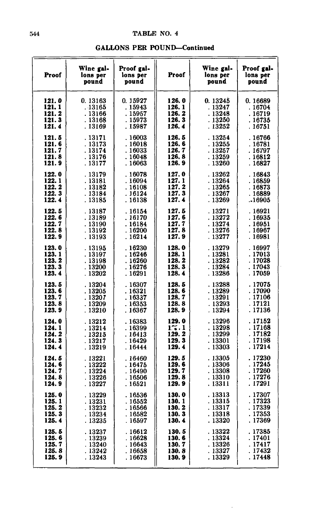| Proof  | Wine gal-<br>lons per<br>pound | Proof gal-<br>lons per<br>pound | Proof | Wine gal-<br>lons per<br>pound | Proof gal-<br>lons per<br>pound |
|--------|--------------------------------|---------------------------------|-------|--------------------------------|---------------------------------|
| 121.0  | 0.13163                        | 0.15927                         | 126.0 | 0.13245                        | 0.16689                         |
| 121.1  | . 13165                        | . 15943                         | 126.1 | .13247                         | . 16704                         |
| 121.2  | . 13166                        | . 15957                         | 126.2 | . 13248                        | . 16719                         |
| 121.3  | .13168                         | .15973                          | 126.3 | . 13250                        | .16735                          |
| 121.4  | . 13169                        | . 15987                         | 126.4 | . 13252                        | . 16751                         |
| 121.5  | . 13171                        | . 16003                         | 126.5 | .13254                         | . 16766                         |
| 121.6  | . 13173                        | . 16018                         | 126.6 | . 13255                        | . 16781                         |
| 121.7  | . 13174                        | .16033                          | 126.7 | .13257                         | . 16797                         |
| 121.8  | . 13176                        | . 16048                         | 126.8 | . 13259                        | .16812                          |
| 121.9  | . 13177                        | . 16063                         | 126.9 | . 13260                        | .16827                          |
| 122.0  | . 13179                        | .16078                          | 127.0 | . 13262                        | . 16843                         |
| 122.1  | . 13181                        | .16094                          | 127.1 | . 13264                        | . 16859                         |
| 122.2  | . 13182                        | .16108                          | 127.2 | . 13265                        | . 16873                         |
| 122.3  | . 13184                        | . 16124                         | 127.3 | . 13267                        | . 16889                         |
| 122.4  | . 13185                        | . 16138                         | 127.4 | . 13269                        | .16905                          |
| 122.5  | . 13187                        | .16154                          | 127.5 | . 13271                        | . 16921                         |
| 122.6  | .13189                         | . 16170                         | 127.6 | . 13272                        | . 16935                         |
| 122.7  | .13190                         | .16184                          | 127.7 | . 13274                        | .16951                          |
| 122.8  | . 13192                        | .16200                          | 127.8 | . 13276                        | . 16967                         |
| 122. 9 | . 13193                        | . 16214                         | 127.9 | . 13277                        | . 16981                         |
| 123.0  | . 13195                        | . 16230                         | 128.0 | . 13279                        | . 16997                         |
| 123.1  | .13197                         | . 16246                         | 128.1 | . 13281                        | . 17013                         |
| 123.2  | .13198                         | .16260                          | 128.2 | . 13282                        | . 17028                         |
| 123.3  | . 13200                        | . 16276                         | 128.3 | . 13284                        | . 17043                         |
| 123.4  | . 13202                        | . 16291                         | 128.4 | . 13286                        | . 17059                         |
| 123.5  | . 13204                        | . 16307                         | 128.5 | .13288                         | .17075                          |
| 123.6  | .13205                         | . 16321                         | 128.6 | . 13289                        | .17090                          |
| 123.7  | . 13207                        | .16337                          | 128.7 | . 13291                        | . 17106                         |
| 123.8  | .13209                         | .16353                          | 128.8 | .13293                         | . 17121                         |
| 123.9  | . 13210                        | . 16367                         | 128.9 | . 13294                        | . 17136                         |
| 124.0  | .13212                         | .16383                          | 129.0 | . 13296                        | . 17152                         |
| 124.1  | . 13214                        | .16399                          | 1.4.1 | . 13298                        | . 17168                         |
| 124.2  | .13215                         | . 16413                         | 129.2 | . 13299                        | . 17182                         |
| 124.3  | . 13217                        | .16429                          | 129.3 | . 13301                        | . 17198                         |
| 124.4  | . 13219                        | .16444                          | 129.4 | .13303                         | . 17214                         |
| 124.5  | . 13221                        | .16460                          | 129.5 | . 13305                        | .17230                          |
| 124.6  | . 13222                        | .16475                          | 129.6 | . 13306                        | . 17245                         |
| 124.7  | . 13224                        | .16490                          | 129.7 | . 13308                        | . 17260                         |
| 124.8  | . 13226                        | .16506                          | 129.8 | . 13310                        | .17276                          |
| 124.9  | . 13227                        | . 16521                         | 129.9 | . 13311                        | . 17291                         |
| 125.0  | .13229                         | .16536                          | 130.0 | . 13313                        | . 17307                         |
| 125.1  | . 13231                        | .16552                          | 130.1 | . 13315                        | . 17323                         |
| 125.2  | . 13232                        | . 16566                         | 130.2 | . 13317                        | . 17339                         |
| 125.3  | . 13234                        | .16582                          | 130.3 | . 13318                        | . 17353                         |
| 125.4  | . 13235                        | .16597                          | 130.4 | . 13320                        | . 17369                         |
| 125.5  | . 13237                        | .16612                          | 130.5 | . 13322                        | . 17385                         |
| 125.6  | . 13239                        | .16628                          | 130.6 | . 13324                        | . 17401                         |
| 125.7  | . 13240                        | . 16643                         | 130.7 | . 13326                        | . 17417                         |
| 125.8  | .13242                         | .16658                          | 130.8 | . 13327                        | . 17432                         |
| 125.9  | . 13243                        | .16673                          | 130.9 | . 13329                        | . 17448                         |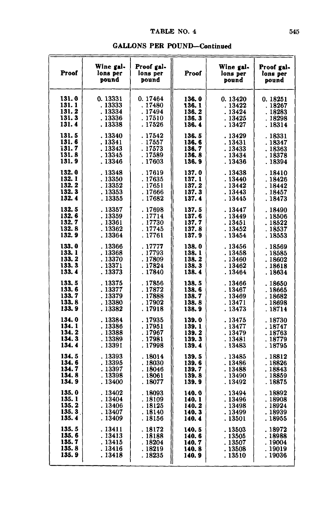| Proof  | Wine gal-<br>lons per<br>pound | Proof gal-<br>lons per<br>pound | Proof  | Wine gal-<br>lons per<br>pound | Proof gal-<br>lons per<br>pound |
|--------|--------------------------------|---------------------------------|--------|--------------------------------|---------------------------------|
| 131.0  | 0.13331                        | 0.17464                         | 136.0  | 0.13420                        | 0.18251                         |
| 131.1  | . 13333                        | .17480                          | 136.1  | .13422                         | . 18267                         |
| 131.2  | . 13334                        | . 17494                         | 136.2  | . 13424                        | .18283                          |
| 131.3  | . 13336                        | . 17510                         | 136.3  | . 13425                        | .18298                          |
| 131.4  | . 13338                        | . 17526                         | 136.4  | .13427                         | . 18314                         |
| 131.5  | . 13340                        | .17542                          | 136.5  | . 13429                        | . 18331                         |
| 131.6  | . 13341                        | $-17557$                        | 136.6  | .13431                         | . 18347                         |
| i31.7  | . 13343                        | . 17573                         | 136.7  | . 13433                        | .18363                          |
| 131.8  | . 13345                        | . 17589                         | 136.8  | . 13434                        | . 18378                         |
| 131.9  | . 13346                        | . 17603                         | 136.9  | . 13436                        | .18394                          |
| 132.0  | . 13348                        | . 17619                         | 137.0  | . 13438                        | .18410                          |
| 132.1  | . 13350                        | . 17635                         | 137.1  | . 13440                        | .18426                          |
| 132.2  | . 13352                        | . 17651                         | 137. 2 | . 13442                        | . 18442                         |
| 132.3  | . 13353                        | .17666                          | 137.3  | . 13443                        | .18457                          |
| 132.4  | . 13355                        | .17682                          | 137.4  | . 13445                        | . 18473                         |
| 132.5  | .13357                         | .17698                          | 137.5  | . 13447                        | .18490                          |
| 132.6  | .13359                         | . 17714                         | 137.6  | . 13449                        | . 18506                         |
| 132.7  | . 13361                        | . 17730                         | 137.7  | . 13451                        | . 18522                         |
| 132.8  | . 13362                        | . 17745                         | 137.8  | .13452                         | .18537                          |
| 132. 9 | . 13364                        | . 17761                         | 137.9  | . 13454                        | . 18553                         |
| 133.0  | . 13366                        | . 17777                         | 138.0  | . 13456                        | . 18569                         |
| 133.1  | .13368                         | . 17793                         | 138.1  | . 13458                        | . 18585                         |
| 133.2  | . 13370                        | . 17809                         | 138.2  | . 13460                        | . 18602                         |
| 133.3  | . 13371                        | . 17824                         | 138.3  | . 13462                        | . 18618                         |
| 133.4  | . 13373                        | . 17840                         | 138.4  | . 13464                        | . 18634                         |
| 133.5  | . 13375                        | .17856                          | 138.5  | .13466                         | . 18650                         |
| 133.6  | . 13377                        | . 17872                         | 138.6  | .13467                         | . 18665                         |
| 133.7  | . 13379                        | . 17888                         | 138.7  | .13469                         | . 18682                         |
| 133.8  | .13380                         | . 17902                         | 138.8  | . 13471                        | . 18698                         |
| 133.9  | . 13382                        | . 17918                         | 138.9  | . 13473                        | . 18714                         |
| 134.0  | .13384                         | .17935                          | 139.0  | . 13475                        | . 18730                         |
| 134.1  | .13386                         | . 17951                         | 139.1  | .13477                         | . 18747                         |
| 134.2  | .13388                         | .17967                          | 139.2  | . 13479                        | . 18763                         |
| 134.3  | .13389                         | . 17981                         | 139.3  | . 13481                        | . 18779                         |
| 134.4  | . 13391                        | . 17998                         | 139.4  | . 13483                        | . 18795                         |
| 134.5  | . 13393                        | .18014                          | 139.5  | .13485                         | . 18812                         |
| 134.6  | . 13395                        | .18030                          | 139.6  | . 13486                        | . 18826                         |
| 134.7  | . 13397                        | .18046                          | 139.7  | . 13488                        | . 18843                         |
| 134.8  | . 13398                        | .18061                          | 139.8  | . 13490                        | . 18859                         |
| 134.9  | . 13400                        | .18077                          | 139.9  | . 13492                        | . 18875                         |
| 135.0  | .13402                         | .18093                          | 140.0  | .13494                         | . 18892                         |
| 135.1  | . 13404                        | .18109                          | 140.1  | . 13496                        | . 18908                         |
| 135.2  | . 13406                        | . 18125                         | 140.2  | .13498                         | . 18924                         |
| 135.3  | .13407                         | . 18140                         | 140.3  | . 13499                        | . 18939                         |
| 135.4  | .13409                         | . 18156                         | 140.4  | . 13501                        | . 18955                         |
| 135.5  | . 13411                        | . 18172                         | 140.5  | .13503                         | . 18972                         |
| 135. 6 | . 13413                        | . 18188                         | 140.6  | . 13505                        | . 18988                         |
| 135.7  | . 13415                        | . 18204                         | 140.7  | . 13507                        | . 19004                         |
| 135.8  | . 13416                        | . 18219                         | 140.8  | . 13508                        | . 19019                         |
| 135.9  | . 13418                        | . 18235                         | 140.9  | . 13510                        | . 19036                         |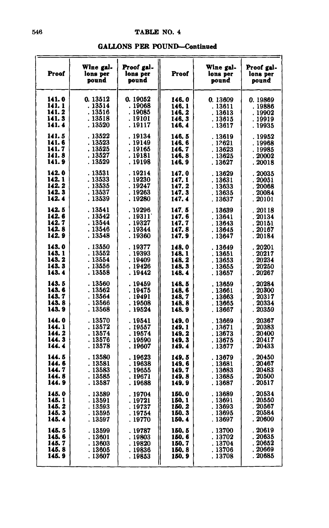| <b>GALLONS PER POUND-Continued</b> |  |
|------------------------------------|--|
|------------------------------------|--|

| Proof                                               | Wine gal-<br>lons per<br>pound                      | Proof gal-<br>lons per<br>pound                    | Proof                                      | Wine gal-<br>lons per<br>pound                      | Proof gal-<br>lons per<br>pound                 |
|-----------------------------------------------------|-----------------------------------------------------|----------------------------------------------------|--------------------------------------------|-----------------------------------------------------|-------------------------------------------------|
| 141.0                                               | 0.13512                                             | 0.19052                                            | 146.0                                      | 0.13609                                             | 0.19869                                         |
| 141.1                                               | . 13514                                             | .19068                                             | 146.1                                      | . 13611                                             | . 19886                                         |
| 141.2                                               | . 13516                                             | . 19085                                            | 146.2                                      | .13613                                              | . 19902                                         |
| 141.3                                               | . 13518                                             | . 19101                                            | 146.3                                      | .13615                                              | . 19919                                         |
| 141.4                                               | . 13520                                             | . 19117                                            | 146.4                                      | . 13617                                             | . 19935                                         |
| 141.5                                               | . 13522                                             | . 19134                                            | 146.5                                      | . 13619                                             | . 19952                                         |
| 141.6                                               | . 13523                                             | . 19149                                            | 146.6                                      | .12621                                              | . 19968                                         |
| 141.7                                               | . 13525                                             | . 19165                                            | 146. 7                                     | . 13623                                             | . 19985                                         |
| 141.8                                               | . 13527                                             | . 19181                                            | 146.8                                      | . 13625                                             | . 20002                                         |
| 141.9                                               | . 13529                                             | . 19198                                            | 146.9                                      | . 13627                                             | . 20018                                         |
| 142.0                                               | . 13531                                             | . 19214                                            | 147.0                                      | .13629                                              | 20035                                           |
| 142.1                                               | . 13533                                             | . 19230                                            | 147. 1                                     | . 13631                                             | . 20051                                         |
| 142. 2                                              | . 13535                                             | . 19247                                            | 147.2                                      | .13633                                              | . 20068                                         |
| 142.3                                               | . 13537                                             | .19263                                             | 147.3                                      | . 13635                                             | . 20084                                         |
| 142.4                                               | . 13539                                             | .19280                                             | 147.4                                      | . 13637                                             | . 20101                                         |
| 142.5                                               | . 13541                                             | . 19296                                            | 147.5                                      | .13639                                              | 20118                                           |
| 142. 6                                              | . 13542                                             | . 19311                                            | 147.6                                      | . 13641                                             | 20134                                           |
| 142.7                                               | . 13544                                             | . 19327                                            | 147.7                                      | . 13643                                             | 20151                                           |
| 142.8                                               | .13546                                              | . 19344                                            | 147. 8                                     | .13645                                              | . 20167                                         |
| 142.9                                               | . 13548                                             | . 19360                                            | 147.9                                      | . 13647                                             | . 20184                                         |
| 143.0                                               | . 13550                                             | . 19377                                            | 148.0                                      | .13649                                              | . 20201                                         |
| 143.1                                               | . 13552                                             | . 19393                                            | 148.1                                      | .13651                                              | . 20217                                         |
| 143.2                                               | . 13554                                             | . 19409                                            | 148. 2                                     | . 13653                                             | 20234                                           |
| 143.3                                               | . 13556                                             | .19426                                             | 148.3                                      | . 13655                                             | 20250                                           |
| 143.4                                               | .13558                                              | . 19442                                            | 148.4                                      | . 13657                                             | . 20267                                         |
| 143.5<br>143.6<br>143.7<br>143.8<br>143.9<br>144.0  | . 13560<br>. 13562<br>. 13564<br>.13566<br>. 13568  | .19459<br>. 19475<br>. 19491<br>. 19508<br>. 19524 | 148.5<br>148.6<br>148.7<br>148.8<br>148. 9 | .13659<br>. 13661<br>.13663<br>. 13665<br>. 13667   | . 20284<br>20300<br>20317<br>. 20334<br>. 20350 |
| 144.1                                               | .13570                                              | . 19541                                            | 149.0                                      | .13669                                              | 20367                                           |
| 144. 2                                              | . 13572                                             | . 19557                                            | 149.1                                      | . 13671                                             | 20383                                           |
| 144. 3                                              | . 13574                                             | . 19574                                            | 149.2                                      | . 13673                                             | . 20400                                         |
| 144.4                                               | . 13576                                             | . 19590                                            | 149.3                                      | . 13675                                             | 20417                                           |
| 144.5                                               | . 13578                                             | . 19607                                            | 149.4                                      | . 13677                                             | . 20433                                         |
| 144.6<br>144. 7<br>144.8<br>144. 9                  | .13580<br>. 13581<br>. 13583<br>. 13585<br>. 13587  | .19623<br>.19638<br>.19655<br>. 19671<br>. 19688   | 149.5<br>149.6<br>149.7<br>149.8<br>149.9  | . 13679<br>. 13681<br>.13683<br>.13685<br>. 13687   | . 20450<br>. 20467<br>20483<br>20500<br>. 20517 |
| 145.0<br>145.1<br>145.2<br>145.3<br>145. 4<br>145.5 | . 13589<br>. 13591<br>.13593<br>. 13595<br>. 13597  | . 19704<br>. 19721<br>.19737<br>. 19754<br>. 19770 | 150.0<br>150.1<br>150.2<br>150.3<br>150.4  | . 13689<br>. 13691<br>. 13693<br>.13695<br>. 13697  | . 20534<br>20550<br>20567<br>. 20584<br>. 20600 |
| 145.6<br>145.7<br>145.8<br>145.9                    | . 13599<br>. 13601<br>. 13603<br>. 13605<br>. 13607 | . 19787<br>.19803<br>. 19820<br>. 19836<br>. 19853 | 150.5<br>150.6<br>150.7<br>150.8<br>150. 9 | . 13700<br>. 13702<br>. 13704<br>. 13706<br>. 13708 | 20619<br>20635<br>. 20652<br>. 20669<br>. 20685 |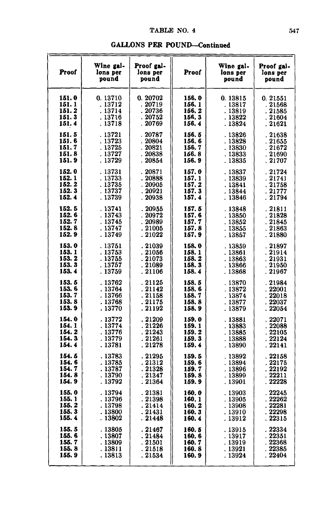#### **GALLONS PER POUND-Continued**

 $\overline{a}$ 

| Proof  | Wine gal-<br>lons per<br>pound | Proof gal-<br>lons per<br>pound | Proof  | Wine gal-<br>lons per<br>pound | Proof gal-<br>lons per<br>pound |
|--------|--------------------------------|---------------------------------|--------|--------------------------------|---------------------------------|
| 151.0  | 0.13710                        | 0.20702                         | 156.0  | 0.13815                        | 0.21551                         |
| 151.1  | . 13712                        | .20719                          | 156.1  | .13817                         | . 21568                         |
| 151.2  | . 13714                        | 20736                           | 156. 2 | . 13819                        | . 21585                         |
| 151.3  | . 13716                        | 20752                           | 156.3  | . 13822                        | . 21604                         |
| 151.4  | . 13718                        | . 20769                         | 156.4  | . 13824                        | . 21621                         |
| 151.5  | . 13721                        | 20787                           | 156.5  | . 13826                        | . 21638                         |
| 151.6  | . 13723                        | 20804                           | 156. 6 | . 13828                        | 21655                           |
| 151.7  | . 13725                        | 20821                           | 156.7  | . 13830                        | .21672                          |
| 151.8  | . 13727                        | .20838                          | 156.8  | .13833                         | . 21690                         |
| 151. 9 | . 13729                        | . 20854                         | 156.9  | . 13835                        | . 21707                         |
| 152.0  | . 13731                        | . 20871                         | 157.0  | .13837                         | . 21724                         |
| 152.1  | .13733                         | .20888                          | 157.1  | .13839                         | . 21741                         |
| 152.2  | . 13735                        | .20905                          | 157.2  | . 13841                        | .21758                          |
| 152.3  | . 13737                        | 20921                           | 157.3  | . 13844                        | . 21777                         |
| 152.4  | .13739                         | .20938                          | 157.4  | . 13846                        | . 21794                         |
| 152.5  | . 13741                        | 20955                           | 157.5  | .13848                         | . 21811                         |
| 152.6  | . 13743                        | .20972                          | 157.6  | .13850                         | .21828                          |
| 152.7  | . 13745                        | . 20989                         | 157.7  | . 13852                        | . 21845                         |
| 152.8  | . 13747                        | . 21005                         | 157.8  | .13855                         | . 21863                         |
| 152.9  | . 13749                        | . 21022                         | 157.9  | . 13857                        | . 21880                         |
| 153.0  | . 13751                        | . 21039                         | 158.0  | . 13859                        | . 21897                         |
| 153.1  | .13753                         | .21056                          | 158.1  | . 13861                        | . 21914                         |
| 153.2  | . 13755                        | .21073                          | 158.2  | .13863                         | . 21931                         |
| 153.3  | . 13757                        | .21089                          | 158.3  | . 13866                        | . 21950                         |
| 153.4  | .13759                         | . 21106                         | 158.4  | . 13868                        | . 21967                         |
| 153.5  | .13762                         | .21125                          | 158.5  | .13870                         | . 21984                         |
| 153.6  | .13764                         | . 21142                         | 158.6  | .13872                         | . 22001                         |
| 153.7  | . 13766                        | . 21158                         | 158.7  | . 13874                        | 22018                           |
| 153.8  | .13768                         | .21175                          | 158.8  | .13877                         | .~22037                         |
| 153.9  | . 13770                        | . 21192                         | 158.9  | . 13879                        | . 22054                         |
| 154.0  | . 13772                        | . 21209                         | 159.0  | . 13881                        | 22071                           |
| 154. 1 | . 13774                        | .21226                          | 159.1  | .13883                         | 22088                           |
| 154.2  | .13776                         | .21243                          | 159.2  | .13885                         | .22105                          |
| 154.3  | .13779                         | .21261                          | 159.3  | .13888                         | . 22124                         |
| 154.4  | . 13781                        | . 21278                         | 159.4  | . 13890                        | . 22141                         |
| 154.5  | . 13783                        | .21295                          | 159.5  | . 13892                        | . 22158                         |
| 154.6  | .13785                         | .21312                          | 159.6  | .13894                         | . 22175                         |
| 154.7  | . 13787                        | . 21328                         | 159.7  | . 13896                        | . 22192                         |
| 154.8  | . 13790                        | . 21347                         | 159. 8 | . 13899                        | 22211                           |
| 154.9  | . 13792                        | . 21364                         | 159.9  | . 13901                        | . 22228                         |
| 155.0  | . 13794                        | . 21381                         | 160.0  | .13903                         | 22245                           |
| 155.1  | . 13796                        | .21398                          | 160.1  | .13905                         | . 22262                         |
| 155.2  | . 13798                        | .21414                          | 160. 2 | . 13908                        | . 22281                         |
| 155.3  | .13800                         | .21431                          | 160.3  | .13910                         | 22298                           |
| 155.4  | . 13802                        | . 21448                         | 160.4  | . 13912                        | . 22315                         |
| 155.5  | . 13805                        | . 21467                         | 160.5  | .13915                         | 22334                           |
| 155.6  | . 13807                        | . 21484                         | 160.6  | . 13917                        | . 22351                         |
| 155.7  | . 13809                        | .21501                          | 160.7  | .13919                         | 22368                           |
| 155.8  | . 13811                        | . 21518                         | 160.8  | . 13921                        | . 22385                         |
| 155.9  | . 13813                        | . 21534                         | 160. 9 | . 13924                        | . 22404                         |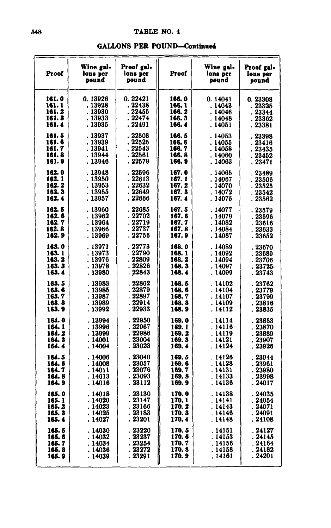| <b>GALLONS PER POUND-Continued</b> |  |  |  |  |  |  |  |  |  |  |  |  |  |  |  |  |
|------------------------------------|--|--|--|--|--|--|--|--|--|--|--|--|--|--|--|--|
|------------------------------------|--|--|--|--|--|--|--|--|--|--|--|--|--|--|--|--|

| Proof                                         | Wine gal-<br>lons per<br>pound                      | Proof gal-<br>lons per<br>pound                    | Proof                                     | Wine gal-<br>lons per<br>pound                      | Proof gal-<br>lons per<br>pound                                         |
|-----------------------------------------------|-----------------------------------------------------|----------------------------------------------------|-------------------------------------------|-----------------------------------------------------|-------------------------------------------------------------------------|
| 161.0                                         | 0.13926                                             | 0.22421                                            | 166.0                                     | 0.14041                                             | 0.23308                                                                 |
| 161.1                                         | . 13928                                             | . 22438                                            | 166.1                                     | . 14043                                             | . 23325                                                                 |
| 161.2                                         | . 13930                                             | . 22455                                            | 166.2                                     | . 14046                                             | . 23344                                                                 |
| 161.3                                         | . 13933                                             | . 22474                                            | 166.3                                     | . 14048                                             | . 23362                                                                 |
| 161.4                                         | . 13935                                             | . 22491                                            | 166.4                                     | . 14051                                             | . 23381                                                                 |
| 161.5                                         | . 13937                                             | .22508                                             | 166. 5                                    | . 14053                                             | . 23398                                                                 |
| 161.6                                         | . 13939                                             | . 22525                                            | 166.6                                     | . 14055                                             | . 23416                                                                 |
| 161.7                                         | . 13941                                             | . 22543                                            | 166. 7                                    | . 14058                                             | . 23435                                                                 |
| 161. 8                                        | . 13944                                             | . 22561                                            | 166.8                                     | . 14060                                             | . 23452                                                                 |
| 161. 9                                        | . 13946                                             | . 22579                                            | 166.9                                     | . 14063                                             | . 23471                                                                 |
| 162.0                                         | .13948                                              | .22596                                             | 167.0                                     | . 14065                                             | . 23489                                                                 |
| 162. 1                                        | . 13950                                             | . 22613                                            | 167.1                                     | . 14067                                             | .23506                                                                  |
| 162. 2                                        | . 13953                                             | . 22632                                            | 167.2                                     | . 14070                                             | . 23525                                                                 |
| 162.3                                         | . 13955                                             | . 22649                                            | 167.3                                     | . 14072                                             | - 23542                                                                 |
| 162. 4                                        | . 13957                                             | . 22666                                            | 167.4                                     | . 14075                                             | .23562                                                                  |
| 162.5                                         | .13960                                              | .22685                                             | 167.5                                     | . 14077                                             | . 23579                                                                 |
| 162.6                                         | . 13962                                             | . 22702                                            | 167.6                                     | .14079                                              | . 23596                                                                 |
| 162.7                                         | .13964                                              | . 22719                                            | 167.7                                     | . 14082                                             | . 23616                                                                 |
| 162.8                                         | . 13966                                             | . 22737                                            | 167.8                                     | . 14084                                             | . 23633                                                                 |
| 162.9                                         | .13969                                              | . 22756                                            | 167.9                                     | . 14087                                             | . 23652                                                                 |
| 163.0                                         | . 13971                                             | . 22773                                            | 168.0                                     | . 14089                                             | . 23670                                                                 |
| 163. 1                                        | . 13973                                             | . 22790                                            | 168.1                                     | .14092                                              | .23689                                                                  |
| 163. 2                                        | . 13976                                             | . 22809                                            | 168.2                                     | . 14094                                             | . 23706                                                                 |
| 163.3                                         | . 13978                                             | . 22826                                            | 168.3                                     | . 14097                                             | . 23725                                                                 |
| 163.4                                         | .13980                                              | . 22843                                            | 168.4                                     | .14099                                              | . 23743                                                                 |
| 163.5                                         | . 13983                                             | . 22862                                            | 168.5                                     | . 14102                                             | 23762                                                                   |
| 163.6                                         | .13985                                              | . 22879                                            | 168.6                                     | . 14104                                             | . 23779                                                                 |
| 163.7                                         | .13987                                              | . 22897                                            | 168.7                                     | . 14107                                             | 23799                                                                   |
| 163.8                                         | . 13989                                             | . 22914                                            | 168.8                                     | .14109                                              | .23816                                                                  |
| 163.9                                         | . 13992                                             | . 22933                                            | 168.9                                     | . 14112                                             | . 23835                                                                 |
| 164.0                                         | . 13994                                             | 22950                                              | 169.0                                     | . 14114                                             | 23853                                                                   |
| 164. 1                                        | .13996                                              | . 22967                                            | 169.1                                     | . 14116                                             | 23870                                                                   |
| 164. 2                                        | .13999                                              | . 22986                                            | 169.2                                     | .14119                                              | . 23889                                                                 |
| 164.3                                         | . 14001                                             | . 23004                                            | 169.3                                     | . 14121                                             | . 23907                                                                 |
| 164.4                                         | . 14004                                             | . 23023                                            | 169.4                                     | . 14124                                             | . 23926                                                                 |
| 164.5<br>164. 6<br>164. 7<br>164. 8<br>164. 9 | . 14006<br>. 14008<br>. 14011<br>. 14013<br>. 14016 | . 23040<br>.23057<br>. 23076<br>. 23093<br>. 23112 | 169.5<br>169.6<br>169.7<br>169.8<br>169.9 | . 14126<br>. 14128<br>. 14131<br>. 14133<br>. 14136 | 23944<br>. 23961<br>23980<br>$\ddot{\phantom{0}}$<br>. 23998<br>. 24017 |
| 165.0                                         | . 14018                                             | . 23130                                            | 170.0                                     | .14138                                              | 24035                                                                   |
| 165. 1                                        | . 14020                                             | . 23147                                            | 170. 1                                    | . 14141                                             | . 24054                                                                 |
| 165. 2                                        | . 14023                                             | 23166                                              | 170. 2                                    | .14143                                              | 24071                                                                   |
| 165.3                                         | . 14025                                             | . 23183                                            | 170.3                                     | .14146                                              | .24091                                                                  |
| 165. 4                                        | . 14027                                             | . 23201                                            | 170.4                                     | . 14148                                             | . 24108                                                                 |
| 165.5                                         | . 14030                                             | .23220                                             | 170.5                                     | . 14151                                             | . 24127                                                                 |
| 165. 6                                        | . 14032                                             | . 23237                                            | 170.6                                     | . 14153                                             | .24145                                                                  |
| 165.7                                         | .14034                                              | . 23254                                            | 170. 7                                    | . 14156                                             | . 24164                                                                 |
| 165.8                                         | . 14036                                             | . 23272                                            | 170.8                                     | . 14158                                             | . 24182                                                                 |
| 165. 9                                        | . 14039                                             | . 23291                                            | 170.9                                     | . 14161                                             | . 24201                                                                 |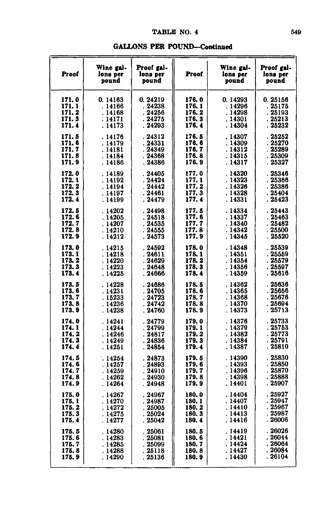## *TABLHI* **NO. 4**

| Proof | Wine gal-<br>lons per<br>pound | Proof gal-<br>lons per<br>pound | Proof  | Wine gal-<br>lons per<br>pound | Proof gal-<br>lons per<br>pound |
|-------|--------------------------------|---------------------------------|--------|--------------------------------|---------------------------------|
| 171.0 | 0.14163                        | 0.24219                         | 176.0  | 0.14293                        | 0.25156                         |
| 171.1 | . 14166                        | . 24238                         | 176.1  | . 14296                        | . 25175                         |
| 171.2 | .14168                         | .24256                          | 176.2  | .14298                         | .25193                          |
| 171.3 | . 14171                        | .24275                          | 176.3  | . 14301                        | .25213                          |
| 171.4 | . 14173                        | .24293                          | 176.4  | . 14304                        | . 25232                         |
| 171.5 | . 14176                        | .24312                          | 176.5  | .14307                         | .25252                          |
| 171.6 | . 14179                        | .24331                          | 176.6  | .14309                         | .25270                          |
| 171.7 | . 14181                        | .24349                          | 176.7  | .14312                         | . 25289                         |
| 171.8 | . 14184                        | .24368                          | 176.8  | . 14315                        | .25309                          |
| 171.9 | . 14186                        | . 24386                         | 176.9  | . 14317                        | .25327                          |
| 172.0 | . 14189                        | .24405                          | 177.0  | . 14320                        | . 25346                         |
| 172.1 | . 14192                        | .24424                          | 177.1  | . 14323                        | . 25366                         |
| 172.2 | . 14194                        | .24442                          | 177.2  | . 14326                        | . 25386                         |
| 172.3 | .14197                         | . 24461                         | 177.3  | .14328                         | . 25404                         |
| 172.4 | . 14199                        | . 24479                         | 177.4  | .14331                         | . 25423                         |
| 172.5 | .14202                         | . 24498                         | 177.5  | . 14334                        | 25443                           |
| 172.6 | .14205                         | .24518                          | 177.6  | .14337                         | .25463                          |
| 172.7 | . 14207                        | . 24535                         | 177.7  | . 14340                        | . 25482                         |
| 172.8 | . 14210                        | . 24555                         | 177.8  | . 14342                        | . 25500                         |
| 172.9 | . 14212                        | . 24573                         | 177.9  | . 14345                        | . 25520                         |
| 173.0 | . 14215                        | .24592                          | 178.0  | . 14348                        | .25539                          |
| 173.1 | . 14218                        | .24611                          | 178.1  | . 14351                        | .25559                          |
| 173.2 | . 14220                        | .24629                          | 178.2  | . 14354                        | . 25579                         |
| 173.3 | . 14223                        | .24648                          | 178.3  | .14356                         | . 25597                         |
| 173.4 | . 14225                        | . 24666                         | 178.4  | . 14359                        | . 25616                         |
| 173.5 | .14228                         | .24686                          | 178.5  | .14362                         | .25636                          |
| 173.6 | . 14231                        | . 24705                         | 178.6  | .14365                         | . 25656                         |
| 173.7 | . 15233                        | . 24723                         | 178.7  | .14368                         | .25676                          |
| 173.8 | . 14236                        | . 24742                         | 178.8  | . 14370                        | .25694                          |
| 173.9 | . 14238                        | .24760                          | 178.9  | . 14373                        | . 25713                         |
| 174.0 | .14241                         | .24779                          | 179.0  | .14376                         | 25733                           |
| 174.1 | .14244                         | .24799                          | 179.1  | .14379                         | .25753                          |
| 174.2 | . 14246                        | . 24817                         | 179.2  | .14382                         | . 25773                         |
| 174.3 | . 14249                        | . 24836                         | 179.3  | .14384                         | . 25791                         |
| 174.4 | . 14251                        | .24854                          | 179.4  | .14387                         | . 25810                         |
| 174.5 | .14254                         | . 24873                         | 179.5  | .14390                         | .25830                          |
| 174.6 | . 14257                        | .24893                          | 179.6  | .14393                         | . 25850                         |
| 174.7 | . 14259                        | .24910                          | 179.7  | .14396                         | . 25870                         |
| 174.8 | .14262                         | .24930                          | 179.8  | .14398                         | . 25888                         |
| 174.9 | . 14264                        | .24948                          | 179.9  | . 14401                        | . 25907                         |
| 175.0 | .14267                         | . 24967                         | 180.0  | . 14404                        | . 25927                         |
| 175.1 | . 14270                        | . 24987                         | 180.1  | . 14407                        | . 25947                         |
| 175.2 | . 14272                        | .25005                          | 180.2  | . 14410                        | . 25967                         |
| 175.3 | . 14275                        | . 25024                         | 180.3  | . 14413                        | . 25987                         |
| 175.4 | . 14277                        | . 25042                         | 180.4  | . 14416                        | . 26006                         |
| 175.5 | . 14280                        | . 25061                         | 180.5  | . 14419                        | .26026                          |
| 175.6 | .14283                         | . 25081                         | 180.6  | .14421                         | . 26044                         |
| 175.7 | . 14285                        | . 25099                         | 180. 7 | . 14424                        | .26064                          |
| 175.8 | .14288                         | . 25118                         | 180.8  | . 14427                        | . 26084                         |
| 175.9 | . 14290                        | . 25136                         | 180.9  | . 14430                        | . 26104                         |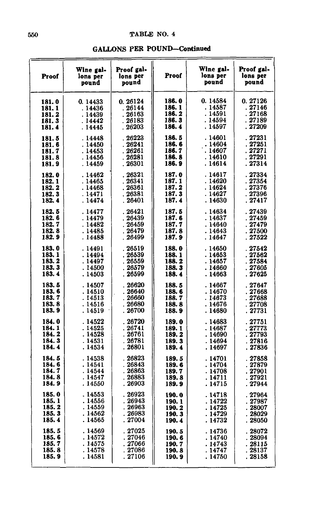**GALLONS PER POUND-Continued** 

| Proof  | Wine gal-<br>lons per<br>pound | Proof gal-<br>lons per<br>pound | Proof  | Wine gal-<br>lons per<br>pound | Proof gal-<br>lons per<br>pound |
|--------|--------------------------------|---------------------------------|--------|--------------------------------|---------------------------------|
| 181.0  | 0.14433                        | 0.26124                         | 186.0  | 0.14584                        | 0.27126                         |
| 181.1  | .14436                         | . 26144                         | 186. 1 | . 14587                        | .27146                          |
| 181.2  | . 14439                        | . 26163                         | 186. 2 | . 14591                        | . 27168                         |
| 181.3  | .14442                         | 26183                           | 186.3  | . 14594                        | . 27189                         |
| 181.4  | . 14445                        | . 26203                         | 186.4  | . 14597                        | . 27209                         |
| 181.5  | .14448                         | .26223                          | 186.5  | .14601                         | . 27231                         |
| 181.6  | .14450                         | . 26241                         | 186.6  | .14604                         | . 27251                         |
| 181.7  | .14453                         | .26261                          | 186.7  | . 14607                        | . 27271                         |
| 181.8  | .14456                         | . 26281                         | 186.8  | . 14610                        | . 27291                         |
| 181.9  | . 14459                        | . 26301                         | 186.9  | . 14614                        | . 27314                         |
| 182.0  | . 14462                        | . 26321                         | 187.0  | .14617                         | .27334                          |
| 182.1  | .14465                         | .26341                          | 187.1  | .14620                         | . 27354                         |
| 182.2  | . 14468                        | . 26361                         | 187.2  | . 14624                        | . 27376                         |
| 182. 3 | . 14471                        | . 26381                         | 187.3  | . 14627                        | . 27396                         |
| 182.4  | . 14474                        | . 26401                         | 187.4  | . 14630                        | . 27417                         |
| 182.5  | . 14477                        | .26421                          | 187.5  | .14634                         | .27439                          |
| 182.6  | . 14479                        | .26439                          | 187.6  | . 14637                        | .27459                          |
| 182.7  | . 14482                        | .26459                          | 187.7  | . 14640                        | . 27479                         |
| 182.8  | . 14485                        | . 26479                         | 187.8  | . 14643                        | . 27500                         |
| 182.9  | . 14488                        | . 26499                         | 187.9  | . 14647                        | . 27522                         |
| 183.0  | . 14491                        | .26519                          | 188.0  | .14650                         | .27542                          |
| 183.1  | .14494                         | .26539                          | 188.1  | . 14653                        | .27562                          |
| 183.2  | . 14497                        | .26559                          | 188.2  | . 14657                        | . 27584                         |
| 183.3  | . 14500                        | . 26579                         | 188.3  | . 14660                        | . 27605                         |
| 183.4  | . 14503                        | .26599                          | 188.4  | . 14663                        | .27625                          |
| 183.5  | . 14507                        | .26620                          | 188.5  | . 14667                        | . 27647                         |
| 183.6  | . 14510                        | . 26640                         | 188.6  | . 14670                        | . 27668                         |
| 183.7  | . 14513                        | .26660                          | 188.7  | . 14673                        | . 27688                         |
| 183.8  | . 14516                        | .26680                          | 188.8  | . 14676                        | .27708                          |
| 183.9  | . 14519                        | . 26700                         | 188.9  | . 14680                        | . 27731                         |
| 184.0  | . 14522                        | .26720                          | 189.0  | .14683                         | . 27751                         |
| 184.1  | . 14525                        | .26741                          | 189.1  | . 14687                        | .27773                          |
| 184.2  | . 14528                        | .26761                          | 189. 2 | . 14690                        | .27793                          |
| 184.3  | . 14531                        | .26781                          | 189.3  | . 14694                        | . 27816                         |
| 184.4  | . 14534                        | . 26801                         | 189.4  | . 14697                        | . 27836                         |
| 184.5  | . 14538                        | . 26823                         | 189.5  | . 14701                        | . 27858                         |
| 184.6  | . 14541                        | .26843                          | 189.6  | . 14704                        | .27879                          |
| 184.7  | . 14544                        | .26863                          | 189. 7 | .14708                         | . 27901                         |
| 184.8  | . 14547                        | . 26883                         | 189.8  | . 14711                        | . 27921                         |
| 184.9  | . 14550                        | .26903                          | 189.9  | . 14715                        | .27944                          |
| 185.0  | .14553                         | .26923                          | 190.0  | . 14718                        | .27964                          |
| 185.1  | . 14556                        | . 26943                         | 190.1  | . 14722                        | .27987                          |
| 185.2  | . 14559                        | . 26963                         | 190.2  | . 14725                        | . 28007                         |
| 185.3  | . 14562                        | .26983                          | 190.3  | . 14729                        | .28029                          |
| 185.4  | . 14565                        | .27004                          | 190.4  | . 14732                        | . 28050                         |
| 185.5  | . 14569                        | . 27025                         | 190.5  | . 14736                        | 28072                           |
| 185.6  | . 14572                        | . 27046                         | 190.6  | .14740                         | . 28094                         |
| 185.7  | . 14575                        | .27066                          | 190.7  | . 14743                        | . 28115                         |
| 185.8  | . 14578                        | . 27086                         | 190.8  | . 14747                        | . 28137                         |
| 185.9  | . 14581                        | . 27106                         | 190.9  | . 14750                        | . 28158                         |